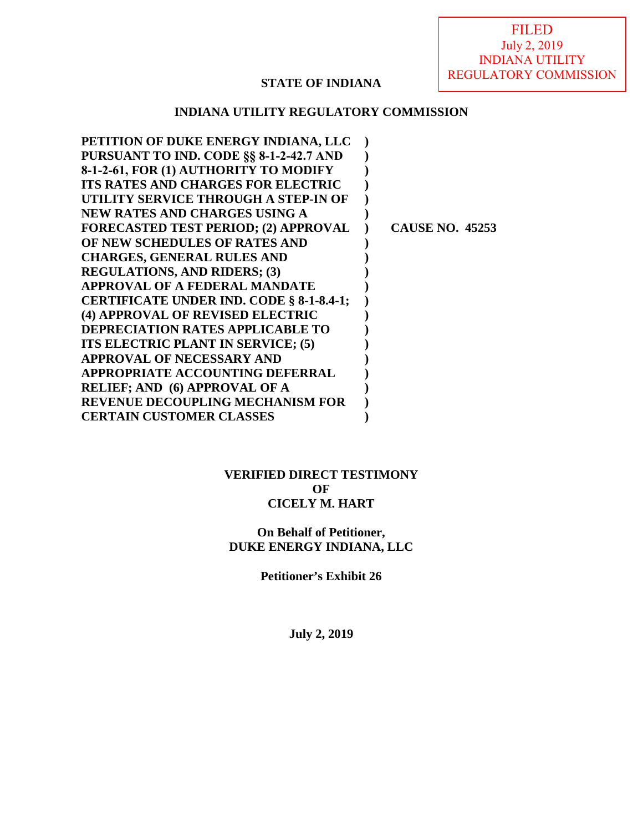FILED July 2, 2019 INDIANA UTILITY REGULATORY COMMISSION

# **STATE OF INDIANA**

## **INDIANA UTILITY REGULATORY COMMISSION**

| PETITION OF DUKE ENERGY INDIANA, LLC        |                        |
|---------------------------------------------|------------------------|
| PURSUANT TO IND. CODE §§ 8-1-2-42.7 AND     |                        |
| 8-1-2-61, FOR (1) AUTHORITY TO MODIFY       |                        |
| <b>ITS RATES AND CHARGES FOR ELECTRIC</b>   |                        |
| UTILITY SERVICE THROUGH A STEP-IN OF        |                        |
| NEW RATES AND CHARGES USING A               |                        |
| <b>FORECASTED TEST PERIOD; (2) APPROVAL</b> | <b>CAUSE NO. 45253</b> |
| OF NEW SCHEDULES OF RATES AND               |                        |
| <b>CHARGES, GENERAL RULES AND</b>           |                        |
| <b>REGULATIONS, AND RIDERS; (3)</b>         |                        |
| <b>APPROVAL OF A FEDERAL MANDATE</b>        |                        |
| CERTIFICATE UNDER IND. CODE § 8-1-8.4-1;    |                        |
| (4) APPROVAL OF REVISED ELECTRIC            |                        |
| <b>DEPRECIATION RATES APPLICABLE TO</b>     |                        |
| ITS ELECTRIC PLANT IN SERVICE; (5)          |                        |
| APPROVAL OF NECESSARY AND                   |                        |
| <b>APPROPRIATE ACCOUNTING DEFERRAL</b>      |                        |
| <b>RELIEF; AND (6) APPROVAL OF A</b>        |                        |
| <b>REVENUE DECOUPLING MECHANISM FOR</b>     |                        |
| <b>CERTAIN CUSTOMER CLASSES</b>             |                        |
|                                             |                        |

### **VERIFIED DIRECT TESTIMONY OF CICELY M. HART**

# **On Behalf of Petitioner, DUKE ENERGY INDIANA, LLC**

**Petitioner's Exhibit 26** 

**July 2, 2019**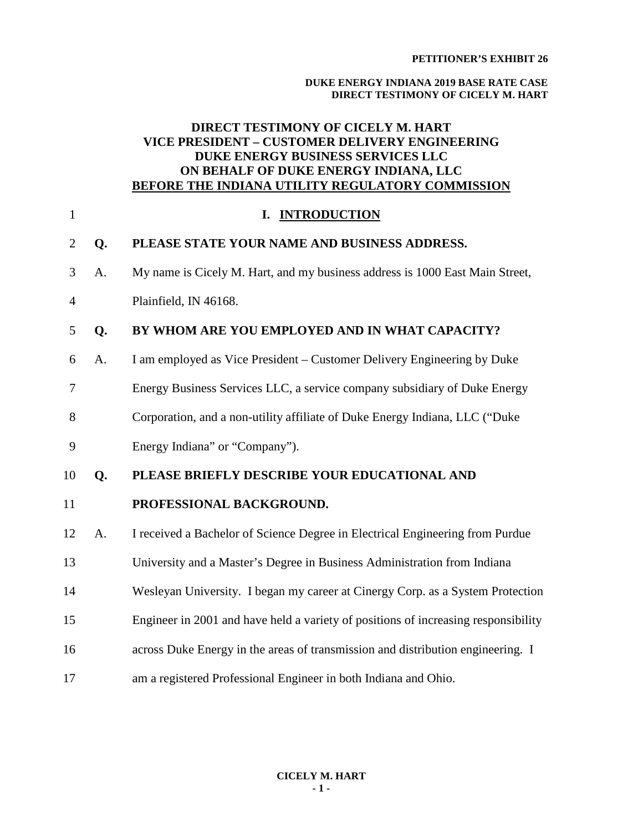#### **DUKE ENERGY INDIANA 2019 BASE RATE CASE DIRECT TESTIMONY OF CICELY M. HART**

# **DIRECT TESTIMONY OF CICELY M. HART VICE PRESIDENT – CUSTOMER DELIVERY ENGINEERING DUKE ENERGY BUSINESS SERVICES LLC ON BEHALF OF DUKE ENERGY INDIANA, LLC BEFORE THE INDIANA UTILITY REGULATORY COMMISSION**

| $\mathbf{1}$   |    | <b>INTRODUCTION</b><br>I.                                                          |
|----------------|----|------------------------------------------------------------------------------------|
| $\overline{2}$ | Q. | PLEASE STATE YOUR NAME AND BUSINESS ADDRESS.                                       |
| 3              | Α. | My name is Cicely M. Hart, and my business address is 1000 East Main Street,       |
| $\overline{4}$ |    | Plainfield, IN 46168.                                                              |
| 5              | Q. | BY WHOM ARE YOU EMPLOYED AND IN WHAT CAPACITY?                                     |
| 6              | A. | I am employed as Vice President – Customer Delivery Engineering by Duke            |
| 7              |    | Energy Business Services LLC, a service company subsidiary of Duke Energy          |
| 8              |    | Corporation, and a non-utility affiliate of Duke Energy Indiana, LLC ("Duke        |
| 9              |    | Energy Indiana" or "Company").                                                     |
| 10             | Q. | PLEASE BRIEFLY DESCRIBE YOUR EDUCATIONAL AND                                       |
| 11             |    | PROFESSIONAL BACKGROUND.                                                           |
| 12             | A. | I received a Bachelor of Science Degree in Electrical Engineering from Purdue      |
| 13             |    | University and a Master's Degree in Business Administration from Indiana           |
| 14             |    | Wesleyan University. I began my career at Cinergy Corp. as a System Protection     |
| 15             |    | Engineer in 2001 and have held a variety of positions of increasing responsibility |
| 16             |    | across Duke Energy in the areas of transmission and distribution engineering. I    |
| 17             |    | am a registered Professional Engineer in both Indiana and Ohio.                    |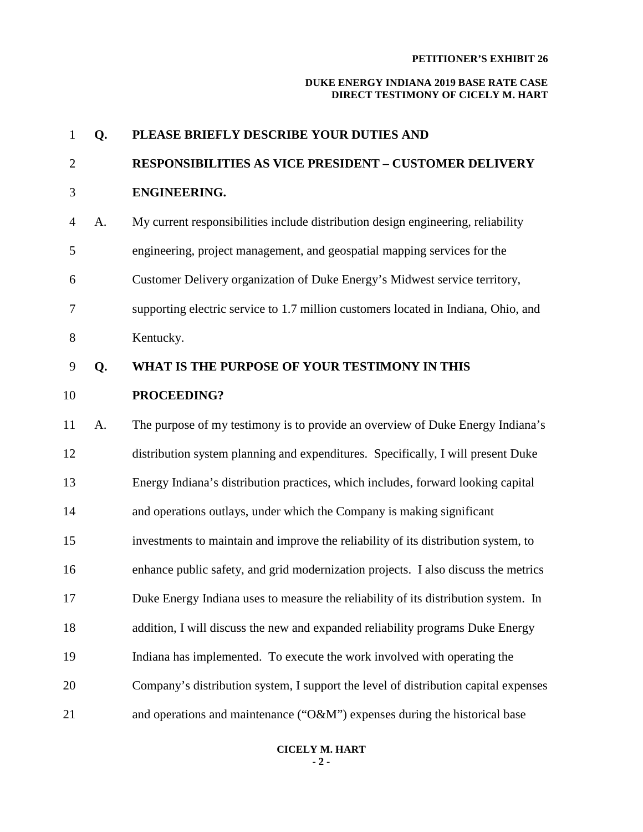| $\mathbf{1}$   | Q. | PLEASE BRIEFLY DESCRIBE YOUR DUTIES AND                                             |
|----------------|----|-------------------------------------------------------------------------------------|
| $\overline{2}$ |    | <b>RESPONSIBILITIES AS VICE PRESIDENT - CUSTOMER DELIVERY</b>                       |
| 3              |    | ENGINEERING.                                                                        |
| 4              | A. | My current responsibilities include distribution design engineering, reliability    |
| 5              |    | engineering, project management, and geospatial mapping services for the            |
| 6              |    | Customer Delivery organization of Duke Energy's Midwest service territory,          |
| 7              |    | supporting electric service to 1.7 million customers located in Indiana, Ohio, and  |
| 8              |    | Kentucky.                                                                           |
| 9              | Q. | WHAT IS THE PURPOSE OF YOUR TESTIMONY IN THIS                                       |
| 10             |    | PROCEEDING?                                                                         |
| 11             | A. | The purpose of my testimony is to provide an overview of Duke Energy Indiana's      |
| 12             |    | distribution system planning and expenditures. Specifically, I will present Duke    |
| 13             |    | Energy Indiana's distribution practices, which includes, forward looking capital    |
| 14             |    | and operations outlays, under which the Company is making significant               |
| 15             |    | investments to maintain and improve the reliability of its distribution system, to  |
| 16             |    | enhance public safety, and grid modernization projects. I also discuss the metrics  |
| 17             |    | Duke Energy Indiana uses to measure the reliability of its distribution system. In  |
| 18             |    | addition, I will discuss the new and expanded reliability programs Duke Energy      |
| 19             |    | Indiana has implemented. To execute the work involved with operating the            |
| 20             |    | Company's distribution system, I support the level of distribution capital expenses |
| 21             |    | and operations and maintenance ("O&M") expenses during the historical base          |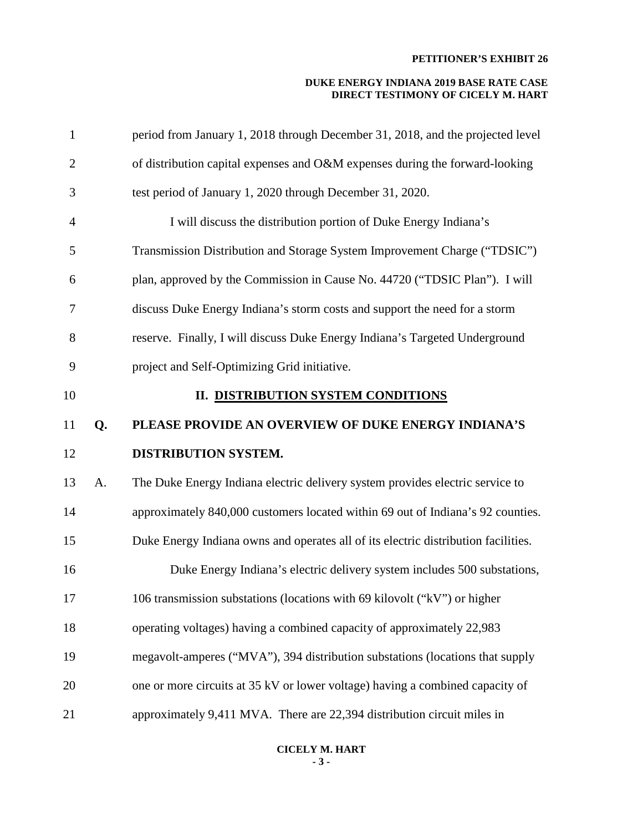| $\mathbf{1}$   |    | period from January 1, 2018 through December 31, 2018, and the projected level     |
|----------------|----|------------------------------------------------------------------------------------|
| $\overline{2}$ |    | of distribution capital expenses and O&M expenses during the forward-looking       |
| 3              |    | test period of January 1, 2020 through December 31, 2020.                          |
| $\overline{4}$ |    | I will discuss the distribution portion of Duke Energy Indiana's                   |
| 5              |    | Transmission Distribution and Storage System Improvement Charge ("TDSIC")          |
| 6              |    | plan, approved by the Commission in Cause No. 44720 ("TDSIC Plan"). I will         |
| $\tau$         |    | discuss Duke Energy Indiana's storm costs and support the need for a storm         |
| 8              |    | reserve. Finally, I will discuss Duke Energy Indiana's Targeted Underground        |
| 9              |    | project and Self-Optimizing Grid initiative.                                       |
| 10             |    | II. DISTRIBUTION SYSTEM CONDITIONS                                                 |
| 11             | Q. | PLEASE PROVIDE AN OVERVIEW OF DUKE ENERGY INDIANA'S                                |
|                |    |                                                                                    |
| 12             |    | DISTRIBUTION SYSTEM.                                                               |
| 13             | A. | The Duke Energy Indiana electric delivery system provides electric service to      |
| 14             |    | approximately 840,000 customers located within 69 out of Indiana's 92 counties.    |
| 15             |    | Duke Energy Indiana owns and operates all of its electric distribution facilities. |
| 16             |    | Duke Energy Indiana's electric delivery system includes 500 substations,           |
| 17             |    | 106 transmission substations (locations with 69 kilovolt ("kV") or higher          |
| 18             |    | operating voltages) having a combined capacity of approximately 22,983             |
| 19             |    | megavolt-amperes ("MVA"), 394 distribution substations (locations that supply      |
| 20             |    | one or more circuits at 35 kV or lower voltage) having a combined capacity of      |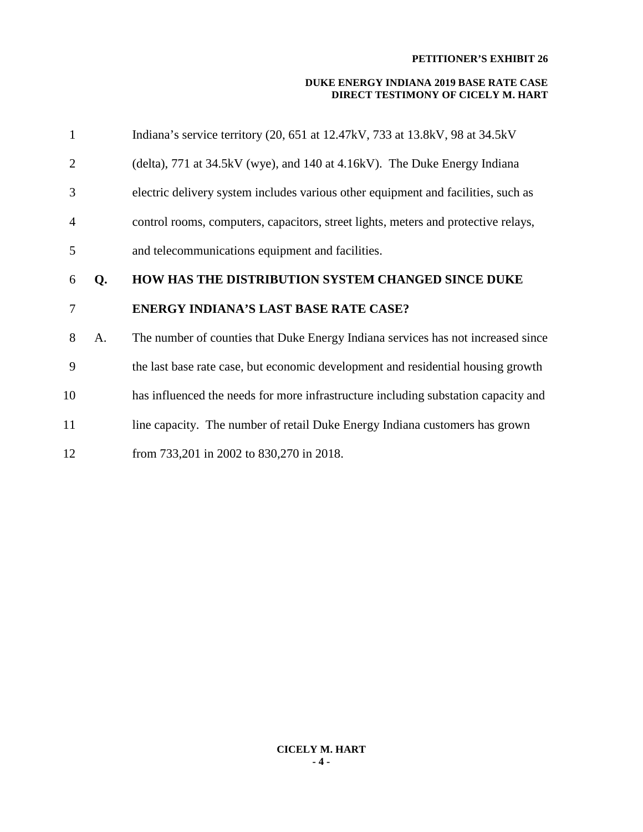| 1              |    | Indiana's service territory (20, 651 at 12.47kV, 733 at 13.8kV, 98 at 34.5kV       |
|----------------|----|------------------------------------------------------------------------------------|
| 2              |    | (delta), 771 at 34.5kV (wye), and 140 at 4.16kV). The Duke Energy Indiana          |
| 3              |    | electric delivery system includes various other equipment and facilities, such as  |
| $\overline{4}$ |    | control rooms, computers, capacitors, street lights, meters and protective relays, |
| 5              |    | and telecommunications equipment and facilities.                                   |
| 6              | Q. | HOW HAS THE DISTRIBUTION SYSTEM CHANGED SINCE DUKE                                 |
|                |    |                                                                                    |
| 7              |    | <b>ENERGY INDIANA'S LAST BASE RATE CASE?</b>                                       |
| 8              | A. | The number of counties that Duke Energy Indiana services has not increased since   |
| 9              |    | the last base rate case, but economic development and residential housing growth   |
| 10             |    | has influenced the needs for more infrastructure including substation capacity and |
| 11             |    | line capacity. The number of retail Duke Energy Indiana customers has grown        |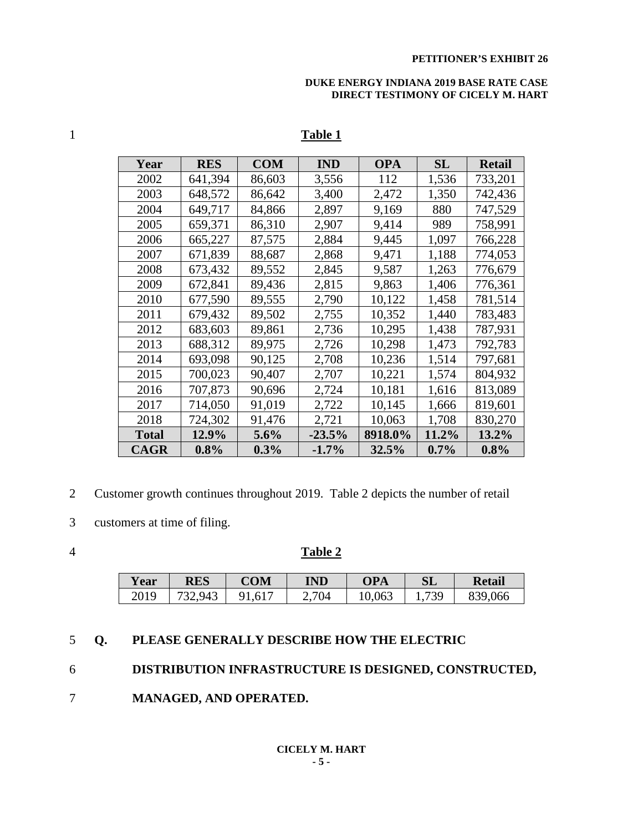#### **DUKE ENERGY INDIANA 2019 BASE RATE CASE DIRECT TESTIMONY OF CICELY M. HART**

| Year  | RES     | <b>COM</b> | <b>IND</b> | <b>OPA</b> | SL      | Retail   |
|-------|---------|------------|------------|------------|---------|----------|
| 2002  | 641,394 | 86,603     | 3,556      | 112        | 1,536   | 733,201  |
| 2003  | 648,572 | 86,642     | 3,400      | 2,472      | 1,350   | 742,436  |
| 2004  | 649,717 | 84,866     | 2,897      | 9,169      | 880     | 747,529  |
| 2005  | 659,371 | 86,310     | 2,907      | 9,414      | 989     | 758,991  |
| 2006  | 665,227 | 87,575     | 2,884      | 9,445      | 1,097   | 766,228  |
| 2007  | 671,839 | 88,687     | 2,868      | 9,471      | 1,188   | 774,053  |
| 2008  | 673,432 | 89,552     | 2,845      | 9,587      | 1,263   | 776,679  |
| 2009  | 672,841 | 89,436     | 2,815      | 9,863      | 1,406   | 776,361  |
| 2010  | 677,590 | 89,555     | 2,790      | 10,122     | 1,458   | 781,514  |
| 2011  | 679,432 | 89,502     | 2,755      | 10,352     | 1,440   | 783,483  |
| 2012  | 683,603 | 89,861     | 2,736      | 10,295     | 1,438   | 787,931  |
| 2013  | 688,312 | 89,975     | 2,726      | 10,298     | 1,473   | 792,783  |
| 2014  | 693,098 | 90,125     | 2,708      | 10,236     | 1,514   | 797,681  |
| 2015  | 700,023 | 90,407     | 2,707      | 10,221     | 1,574   | 804,932  |
| 2016  | 707,873 | 90,696     | 2,724      | 10,181     | 1,616   | 813,089  |
| 2017  | 714,050 | 91,019     | 2,722      | 10,145     | 1,666   | 819,601  |
| 2018  | 724,302 | 91,476     | 2,721      | 10,063     | 1,708   | 830,270  |
| Total | 12.9%   | $5.6\%$    | $-23.5\%$  | 8918.0%    | 11.2%   | $13.2\%$ |
| CAGR  | $0.8\%$ | $0.3\%$    | $-1.7\%$   | 32.5%      | $0.7\%$ | $0.8\%$  |

# **Table 1**

- 2 Customer growth continues throughout 2019. Table 2 depicts the number of retail
- 3 customers at time of filing.
- 

## **Table 2**

| <b>Year</b> | <b>RES</b> | COM  | IND | OPA    | ЭL         | <b>Retail</b>     |
|-------------|------------|------|-----|--------|------------|-------------------|
| 2019        | 943        | 1,01 | 704 | 10,063 | 730<br>ر ب | 066<br>?Q<br>JJ 2 |

# **Q. PLEASE GENERALLY DESCRIBE HOW THE ELECTRIC**

# **DISTRIBUTION INFRASTRUCTURE IS DESIGNED, CONSTRUCTED,**

**MANAGED, AND OPERATED.**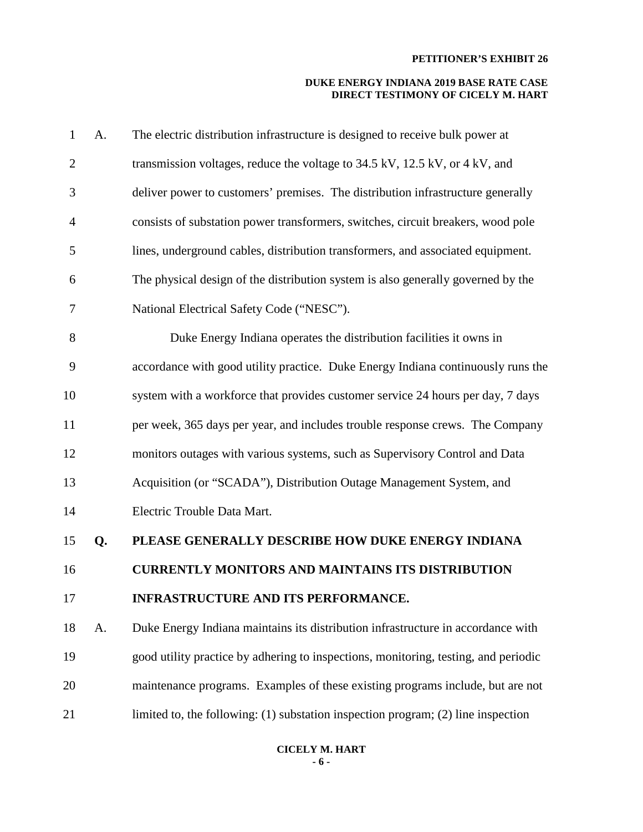| 1              | A. | The electric distribution infrastructure is designed to receive bulk power at         |
|----------------|----|---------------------------------------------------------------------------------------|
| $\overline{2}$ |    | transmission voltages, reduce the voltage to 34.5 kV, 12.5 kV, or 4 kV, and           |
| 3              |    | deliver power to customers' premises. The distribution infrastructure generally       |
| $\overline{4}$ |    | consists of substation power transformers, switches, circuit breakers, wood pole      |
| 5              |    | lines, underground cables, distribution transformers, and associated equipment.       |
| 6              |    | The physical design of the distribution system is also generally governed by the      |
| 7              |    | National Electrical Safety Code ("NESC").                                             |
| 8              |    | Duke Energy Indiana operates the distribution facilities it owns in                   |
| 9              |    | accordance with good utility practice. Duke Energy Indiana continuously runs the      |
| 10             |    | system with a workforce that provides customer service 24 hours per day, 7 days       |
| 11             |    | per week, 365 days per year, and includes trouble response crews. The Company         |
| 12             |    | monitors outages with various systems, such as Supervisory Control and Data           |
| 13             |    | Acquisition (or "SCADA"), Distribution Outage Management System, and                  |
| 14             |    | Electric Trouble Data Mart.                                                           |
| 15             | Q. | PLEASE GENERALLY DESCRIBE HOW DUKE ENERGY INDIANA                                     |
| 16             |    | <b>CURRENTLY MONITORS AND MAINTAINS ITS DISTRIBUTION</b>                              |
| 17             |    | INFRASTRUCTURE AND ITS PERFORMANCE.                                                   |
| 18             | A. | Duke Energy Indiana maintains its distribution infrastructure in accordance with      |
| 19             |    | good utility practice by adhering to inspections, monitoring, testing, and periodic   |
| 20             |    | maintenance programs. Examples of these existing programs include, but are not        |
| 21             |    | limited to, the following: $(1)$ substation inspection program; $(2)$ line inspection |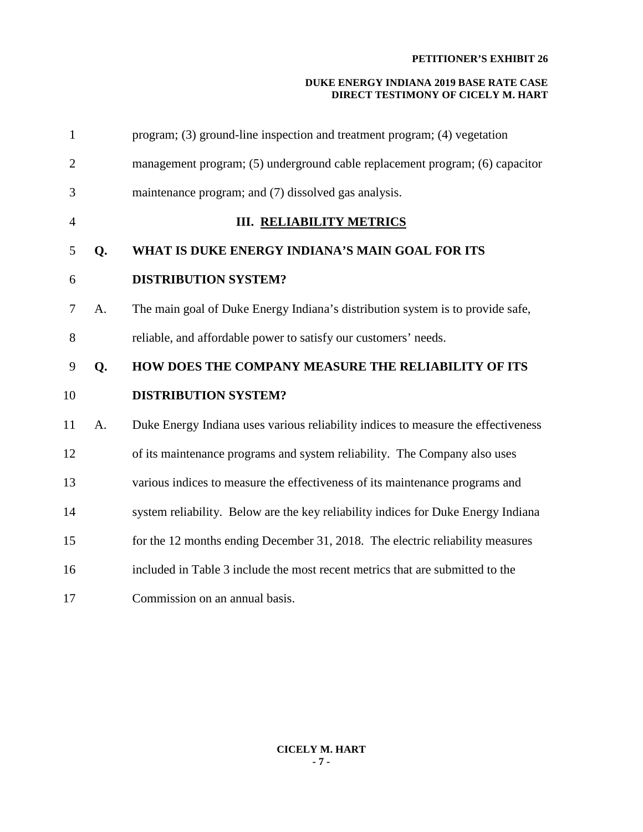| $\mathbf{1}$   |    | program; (3) ground-line inspection and treatment program; (4) vegetation         |
|----------------|----|-----------------------------------------------------------------------------------|
| $\overline{2}$ |    | management program; (5) underground cable replacement program; (6) capacitor      |
| 3              |    | maintenance program; and (7) dissolved gas analysis.                              |
| $\overline{4}$ |    | <b>III. RELIABILITY METRICS</b>                                                   |
| 5              | Q. | WHAT IS DUKE ENERGY INDIANA'S MAIN GOAL FOR ITS                                   |
| 6              |    | <b>DISTRIBUTION SYSTEM?</b>                                                       |
| 7              | A. | The main goal of Duke Energy Indiana's distribution system is to provide safe,    |
| 8              |    | reliable, and affordable power to satisfy our customers' needs.                   |
| 9              | Q. | HOW DOES THE COMPANY MEASURE THE RELIABILITY OF ITS                               |
| 10             |    | <b>DISTRIBUTION SYSTEM?</b>                                                       |
| 11             | A. | Duke Energy Indiana uses various reliability indices to measure the effectiveness |
| 12             |    | of its maintenance programs and system reliability. The Company also uses         |
| 13             |    | various indices to measure the effectiveness of its maintenance programs and      |
| 14             |    | system reliability. Below are the key reliability indices for Duke Energy Indiana |
| 15             |    | for the 12 months ending December 31, 2018. The electric reliability measures     |
| 16             |    | included in Table 3 include the most recent metrics that are submitted to the     |
| 17             |    | Commission on an annual basis.                                                    |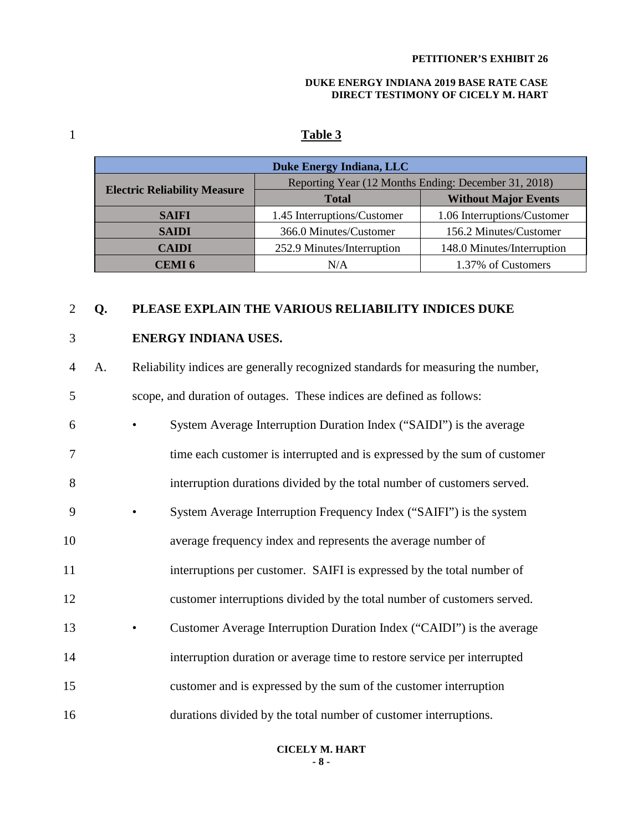#### **DUKE ENERGY INDIANA 2019 BASE RATE CASE DIRECT TESTIMONY OF CICELY M. HART**

# 1 **Table 3**

| Duke Energy Indiana, LLC            |                                                      |                             |  |  |
|-------------------------------------|------------------------------------------------------|-----------------------------|--|--|
|                                     | Reporting Year (12 Months Ending: December 31, 2018) |                             |  |  |
| <b>Electric Reliability Measure</b> | <b>Total</b>                                         | <b>Without Major Events</b> |  |  |
| <b>SAIFI</b>                        | 1.45 Interruptions/Customer                          | 1.06 Interruptions/Customer |  |  |
| <b>SAIDI</b>                        | 366.0 Minutes/Customer                               | 156.2 Minutes/Customer      |  |  |
| <b>CAIDI</b>                        | 252.9 Minutes/Interruption                           | 148.0 Minutes/Interruption  |  |  |
| CEMI 6                              | N/A                                                  | 1.37% of Customers          |  |  |

## 2 **Q. PLEASE EXPLAIN THE VARIOUS RELIABILITY INDICES DUKE**

## 3 **ENERGY INDIANA USES.**

4 A. Reliability indices are generally recognized standards for measuring the number, 5 scope, and duration of outages. These indices are defined as follows:

| 6              | System Average Interruption Duration Index ("SAIDI") is the average       |
|----------------|---------------------------------------------------------------------------|
| $\overline{7}$ | time each customer is interrupted and is expressed by the sum of customer |
| 8              | interruption durations divided by the total number of customers served.   |
| 9              | System Average Interruption Frequency Index ("SAIFI") is the system       |
| 10             | average frequency index and represents the average number of              |
| 11             | interruptions per customer. SAIFI is expressed by the total number of     |
| 12             | customer interruptions divided by the total number of customers served.   |
| 13             | Customer Average Interruption Duration Index ("CAIDI") is the average     |
| 14             | interruption duration or average time to restore service per interrupted  |
| 15             | customer and is expressed by the sum of the customer interruption         |
| 16             | durations divided by the total number of customer interruptions.          |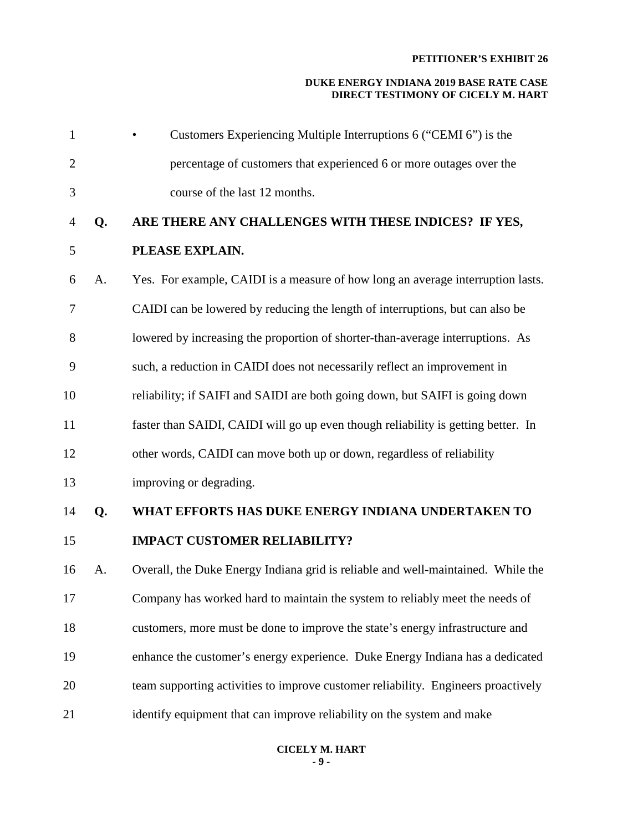| $\mathbf{1}$   |    | Customers Experiencing Multiple Interruptions 6 ("CEMI 6") is the                 |
|----------------|----|-----------------------------------------------------------------------------------|
| $\overline{2}$ |    | percentage of customers that experienced 6 or more outages over the               |
| 3              |    | course of the last 12 months.                                                     |
| 4              | Q. | ARE THERE ANY CHALLENGES WITH THESE INDICES? IF YES,                              |
| 5              |    | PLEASE EXPLAIN.                                                                   |
| 6              | A. | Yes. For example, CAIDI is a measure of how long an average interruption lasts.   |
| 7              |    | CAIDI can be lowered by reducing the length of interruptions, but can also be     |
| 8              |    | lowered by increasing the proportion of shorter-than-average interruptions. As    |
| 9              |    | such, a reduction in CAIDI does not necessarily reflect an improvement in         |
| 10             |    | reliability; if SAIFI and SAIDI are both going down, but SAIFI is going down      |
| 11             |    | faster than SAIDI, CAIDI will go up even though reliability is getting better. In |
| 12             |    | other words, CAIDI can move both up or down, regardless of reliability            |
| 13             |    | improving or degrading.                                                           |
| 14             | Q. | WHAT EFFORTS HAS DUKE ENERGY INDIANA UNDERTAKEN TO                                |
| 15             |    | <b>IMPACT CUSTOMER RELIABILITY?</b>                                               |
| 16             | A. | Overall, the Duke Energy Indiana grid is reliable and well-maintained. While the  |
| 17             |    | Company has worked hard to maintain the system to reliably meet the needs of      |
| 18             |    | customers, more must be done to improve the state's energy infrastructure and     |
| 19             |    | enhance the customer's energy experience. Duke Energy Indiana has a dedicated     |
| 20             |    | team supporting activities to improve customer reliability. Engineers proactively |
| 21             |    | identify equipment that can improve reliability on the system and make            |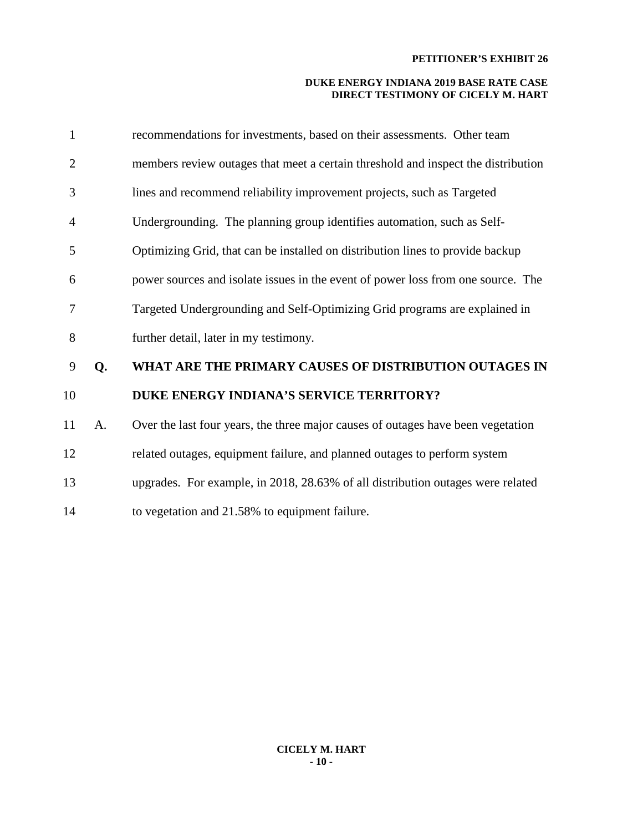| $\mathbf{1}$   |    | recommendations for investments, based on their assessments. Other team           |
|----------------|----|-----------------------------------------------------------------------------------|
| $\overline{2}$ |    | members review outages that meet a certain threshold and inspect the distribution |
| 3              |    | lines and recommend reliability improvement projects, such as Targeted            |
| 4              |    | Undergrounding. The planning group identifies automation, such as Self-           |
| 5              |    | Optimizing Grid, that can be installed on distribution lines to provide backup    |
| 6              |    | power sources and isolate issues in the event of power loss from one source. The  |
| 7              |    | Targeted Undergrounding and Self-Optimizing Grid programs are explained in        |
| 8              |    | further detail, later in my testimony.                                            |
| 9              | Q. | WHAT ARE THE PRIMARY CAUSES OF DISTRIBUTION OUTAGES IN                            |
| 10             |    | DUKE ENERGY INDIANA'S SERVICE TERRITORY?                                          |
| 11             | A. | Over the last four years, the three major causes of outages have been vegetation  |
| 12             |    | related outages, equipment failure, and planned outages to perform system         |
| 13             |    | upgrades. For example, in 2018, 28.63% of all distribution outages were related   |
| 14             |    | to vegetation and 21.58% to equipment failure.                                    |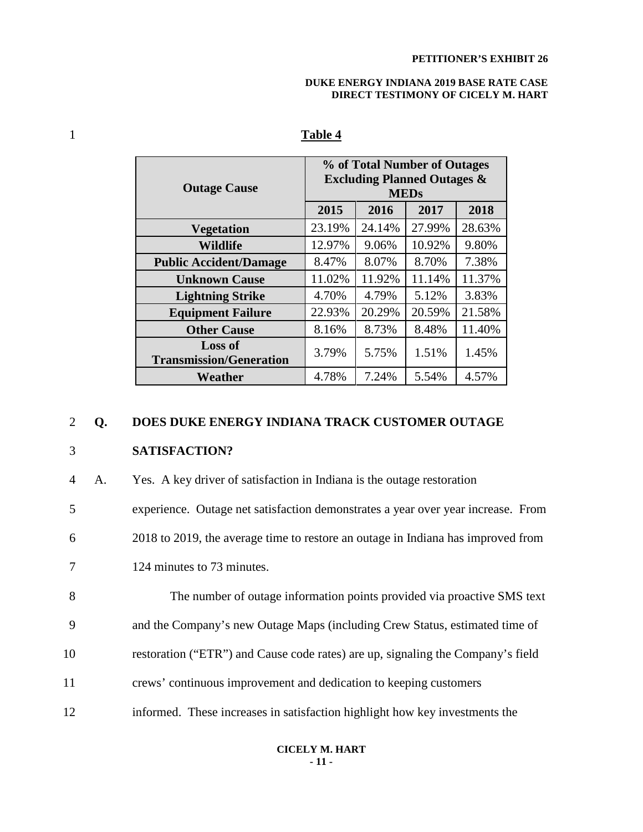#### **DUKE ENERGY INDIANA 2019 BASE RATE CASE DIRECT TESTIMONY OF CICELY M. HART**

| <b>Outage Cause</b>                              | % of Total Number of Outages<br><b>Excluding Planned Outages &amp;</b><br><b>MEDs</b> |        |        |        |
|--------------------------------------------------|---------------------------------------------------------------------------------------|--------|--------|--------|
|                                                  | 2015                                                                                  | 2016   | 2017   | 2018   |
| <b>Vegetation</b>                                | 23.19%                                                                                | 24.14% | 27.99% | 28.63% |
| <b>Wildlife</b>                                  | 12.97%                                                                                | 9.06%  | 10.92% | 9.80%  |
| <b>Public Accident/Damage</b>                    | 8.47%                                                                                 | 8.07%  | 8.70%  | 7.38%  |
| <b>Unknown Cause</b>                             | 11.02%                                                                                | 11.92% | 11.14% | 11.37% |
| <b>Lightning Strike</b>                          | 4.70%                                                                                 | 4.79%  | 5.12%  | 3.83%  |
| <b>Equipment Failure</b>                         | 22.93%                                                                                | 20.29% | 20.59% | 21.58% |
| <b>Other Cause</b>                               | 8.16%                                                                                 | 8.73%  | 8.48%  | 11.40% |
| <b>Loss of</b><br><b>Transmission/Generation</b> | 3.79%                                                                                 | 5.75%  | 1.51%  | 1.45%  |
| Weather                                          | 4.78%                                                                                 | 7.24%  | 5.54%  | 4.57%  |

# 1 **Table 4**

#### 2 **Q. DOES DUKE ENERGY INDIANA TRACK CUSTOMER OUTAGE**

# 3 **SATISFACTION?**

4 A. Yes. A key driver of satisfaction in Indiana is the outage restoration 5 experience. Outage net satisfaction demonstrates a year over year increase. From 6 2018 to 2019, the average time to restore an outage in Indiana has improved from 7 124 minutes to 73 minutes. 8 The number of outage information points provided via proactive SMS text 9 and the Company's new Outage Maps (including Crew Status, estimated time of 10 restoration ("ETR") and Cause code rates) are up, signaling the Company's field 11 crews' continuous improvement and dedication to keeping customers 12 informed. These increases in satisfaction highlight how key investments the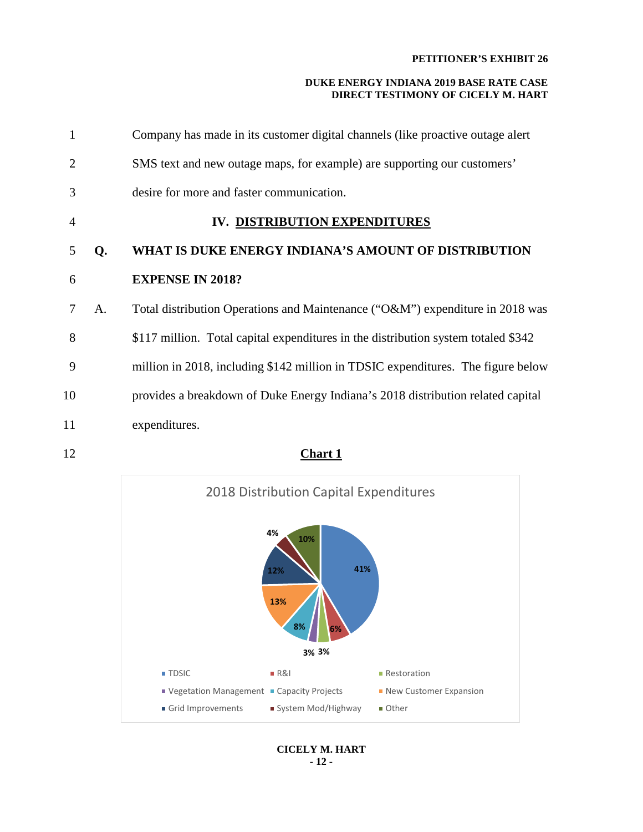| 1              |    | Company has made in its customer digital channels (like proactive outage alert     |
|----------------|----|------------------------------------------------------------------------------------|
| 2              |    | SMS text and new outage maps, for example) are supporting our customers'           |
| 3              |    | desire for more and faster communication.                                          |
| $\overline{4}$ |    | IV. DISTRIBUTION EXPENDITURES                                                      |
| 5              | Q. | WHAT IS DUKE ENERGY INDIANA'S AMOUNT OF DISTRIBUTION                               |
| 6              |    | <b>EXPENSE IN 2018?</b>                                                            |
| 7              | A. | Total distribution Operations and Maintenance ("O&M") expenditure in 2018 was      |
| 8              |    | \$117 million. Total capital expenditures in the distribution system totaled \$342 |
| 9              |    | million in 2018, including \$142 million in TDSIC expenditures. The figure below   |
| 10             |    | provides a breakdown of Duke Energy Indiana's 2018 distribution related capital    |
| 11             |    | expenditures.                                                                      |

12 **Chart 1**



**CICELY M. HART - 12 -**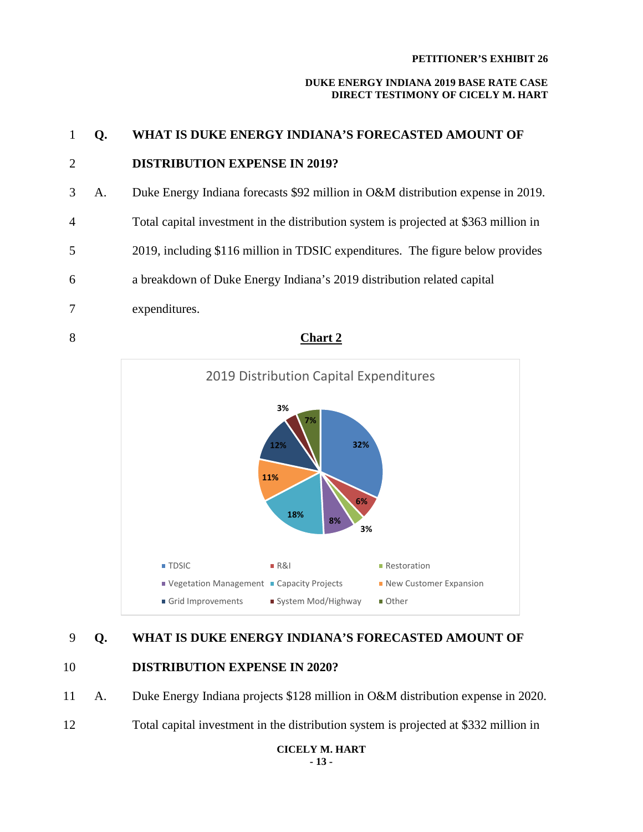#### **DUKE ENERGY INDIANA 2019 BASE RATE CASE DIRECT TESTIMONY OF CICELY M. HART**





# 9 **Q. WHAT IS DUKE ENERGY INDIANA'S FORECASTED AMOUNT OF**

# 10 **DISTRIBUTION EXPENSE IN 2020?**

- 11 A. Duke Energy Indiana projects \$128 million in O&M distribution expense in 2020.
- 12 Total capital investment in the distribution system is projected at \$332 million in

**CICELY M. HART - 13 -**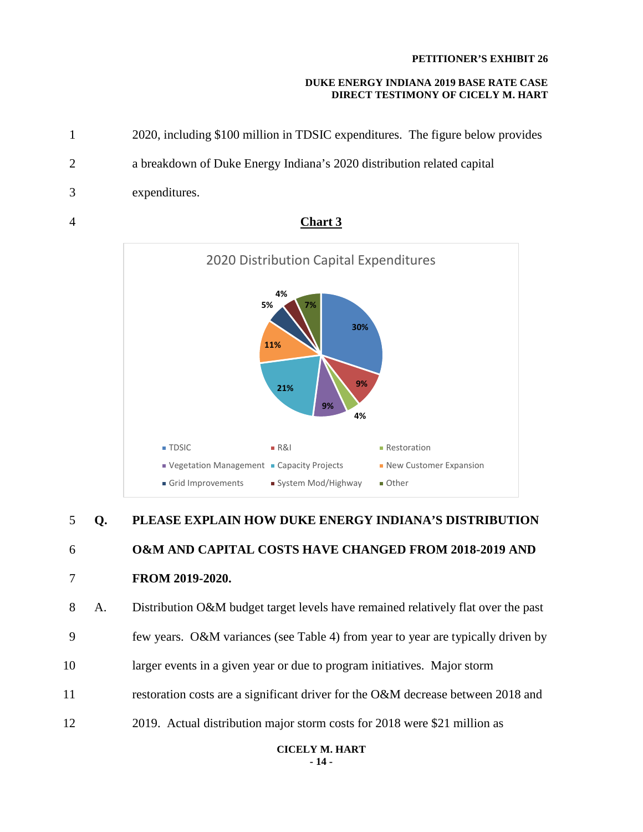#### **DUKE ENERGY INDIANA 2019 BASE RATE CASE DIRECT TESTIMONY OF CICELY M. HART**

1 2020, including \$100 million in TDSIC expenditures. The figure below provides 2 a breakdown of Duke Energy Indiana's 2020 distribution related capital 3 expenditures. 4 **Chart 3**



# 5 **Q. PLEASE EXPLAIN HOW DUKE ENERGY INDIANA'S DISTRIBUTION** 6 **O&M AND CAPITAL COSTS HAVE CHANGED FROM 2018-2019 AND**

7 **FROM 2019-2020.** 

8 A. Distribution O&M budget target levels have remained relatively flat over the past 9 few years. O&M variances (see Table 4) from year to year are typically driven by 10 larger events in a given year or due to program initiatives. Major storm 11 restoration costs are a significant driver for the O&M decrease between 2018 and

12 2019. Actual distribution major storm costs for 2018 were \$21 million as

**CICELY M. HART - 14 -**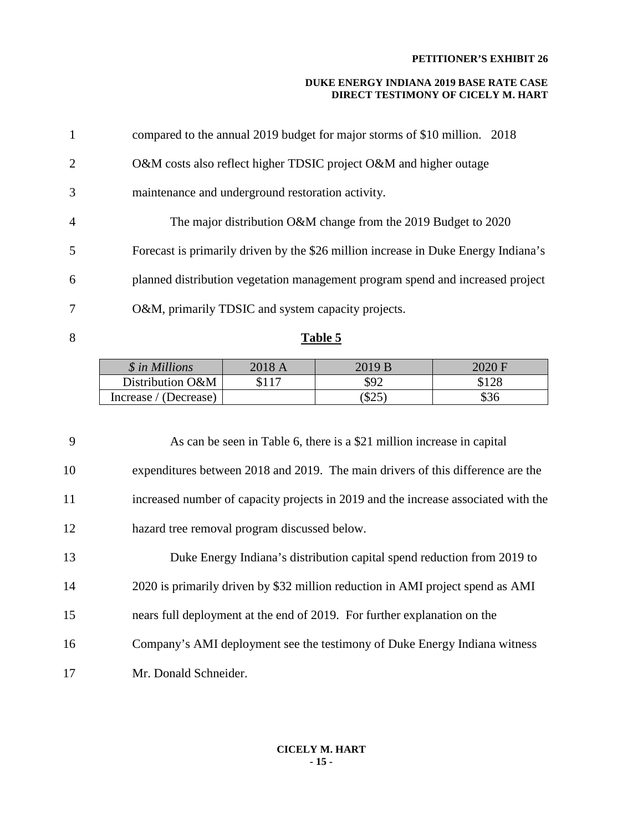#### **DUKE ENERGY INDIANA 2019 BASE RATE CASE DIRECT TESTIMONY OF CICELY M. HART**

| $\mathbf{1}$   | compared to the annual 2019 budget for major storms of \$10 million. 2018          |
|----------------|------------------------------------------------------------------------------------|
| $\overline{2}$ | O&M costs also reflect higher TDSIC project O&M and higher outage                  |
| 3              | maintenance and underground restoration activity.                                  |
| $\overline{4}$ | The major distribution O&M change from the 2019 Budget to 2020                     |
| 5              | Forecast is primarily driven by the \$26 million increase in Duke Energy Indiana's |
| 6              | planned distribution vegetation management program spend and increased project     |
| 7              | O&M, primarily TDSIC and system capacity projects.                                 |
|                |                                                                                    |

# 8 **Table 5**

| \$ in Millions         | 2018 A | 2019 B     |         |
|------------------------|--------|------------|---------|
| Distribution O&M       |        | \$92       | ¢ 1 ን ዩ |
| (Decrease)<br>Increase |        | でつぐ<br>DZJ |         |

9 As can be seen in Table 6, there is a \$21 million increase in capital 10 expenditures between 2018 and 2019. The main drivers of this difference are the 11 increased number of capacity projects in 2019 and the increase associated with the 12 hazard tree removal program discussed below.

| 13 | Duke Energy Indiana's distribution capital spend reduction from 2019 to        |
|----|--------------------------------------------------------------------------------|
| 14 | 2020 is primarily driven by \$32 million reduction in AMI project spend as AMI |
| 15 | nears full deployment at the end of 2019. For further explanation on the       |
| 16 | Company's AMI deployment see the testimony of Duke Energy Indiana witness      |
| 17 | Mr. Donald Schneider.                                                          |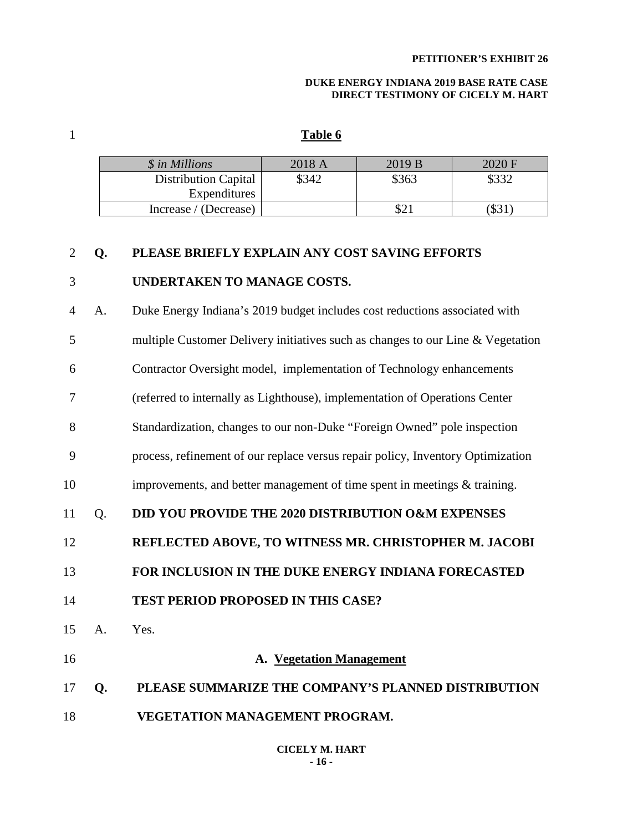#### **DUKE ENERGY INDIANA 2019 BASE RATE CASE DIRECT TESTIMONY OF CICELY M. HART**

## 1 **Table 6**

| \$ in Millions              | 2018 A | 2019B | 2020 F |
|-----------------------------|--------|-------|--------|
| <b>Distribution Capital</b> | \$342  | \$363 | \$332  |
| Expenditures                |        |       |        |
| Increase / (Decrease)       |        |       | DJ.    |

#### 2 **Q. PLEASE BRIEFLY EXPLAIN ANY COST SAVING EFFORTS**

#### 3 **UNDERTAKEN TO MANAGE COSTS.**

4 A. Duke Energy Indiana's 2019 budget includes cost reductions associated with

5 multiple Customer Delivery initiatives such as changes to our Line & Vegetation

6 Contractor Oversight model, implementation of Technology enhancements

7 (referred to internally as Lighthouse), implementation of Operations Center

8 Standardization, changes to our non-Duke "Foreign Owned" pole inspection

9 process, refinement of our replace versus repair policy, Inventory Optimization

10 improvements, and better management of time spent in meetings & training.

11 Q. **DID YOU PROVIDE THE 2020 DISTRIBUTION O&M EXPENSES** 

12 **REFLECTED ABOVE, TO WITNESS MR. CHRISTOPHER M. JACOBI** 

13 **FOR INCLUSION IN THE DUKE ENERGY INDIANA FORECASTED** 

14 **TEST PERIOD PROPOSED IN THIS CASE?**

15 A. Yes.

16 **A. Vegetation Management** 

17 **Q. PLEASE SUMMARIZE THE COMPANY'S PLANNED DISTRIBUTION**

18 **VEGETATION MANAGEMENT PROGRAM.**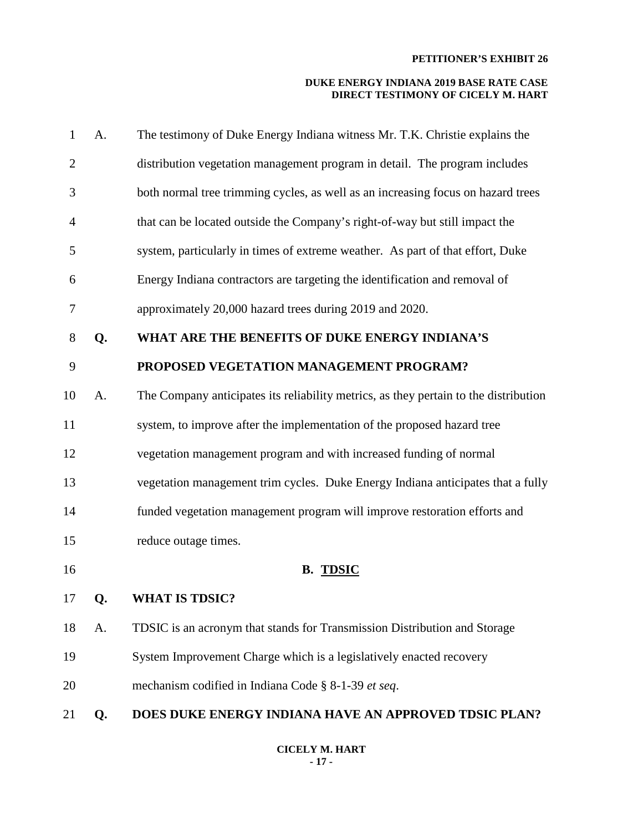| $\mathbf{1}$   | A. | The testimony of Duke Energy Indiana witness Mr. T.K. Christie explains the          |
|----------------|----|--------------------------------------------------------------------------------------|
| $\overline{2}$ |    | distribution vegetation management program in detail. The program includes           |
| 3              |    | both normal tree trimming cycles, as well as an increasing focus on hazard trees     |
| $\overline{4}$ |    | that can be located outside the Company's right-of-way but still impact the          |
| 5              |    | system, particularly in times of extreme weather. As part of that effort, Duke       |
| 6              |    | Energy Indiana contractors are targeting the identification and removal of           |
| 7              |    | approximately 20,000 hazard trees during 2019 and 2020.                              |
| 8              | Q. | WHAT ARE THE BENEFITS OF DUKE ENERGY INDIANA'S                                       |
| 9              |    | PROPOSED VEGETATION MANAGEMENT PROGRAM?                                              |
| 10             | A. | The Company anticipates its reliability metrics, as they pertain to the distribution |
| 11             |    | system, to improve after the implementation of the proposed hazard tree              |
| 12             |    | vegetation management program and with increased funding of normal                   |
| 13             |    | vegetation management trim cycles. Duke Energy Indiana anticipates that a fully      |
| 14             |    | funded vegetation management program will improve restoration efforts and            |
| 15             |    | reduce outage times.                                                                 |
| 16             |    | <b>B. TDSIC</b>                                                                      |
| 17             | Q. | <b>WHAT IS TDSIC?</b>                                                                |
| 18             | A. | TDSIC is an acronym that stands for Transmission Distribution and Storage            |
| 19             |    | System Improvement Charge which is a legislatively enacted recovery                  |
| 20             |    | mechanism codified in Indiana Code § 8-1-39 et seq.                                  |
| 21             | Q. | DOES DUKE ENERGY INDIANA HAVE AN APPROVED TDSIC PLAN?                                |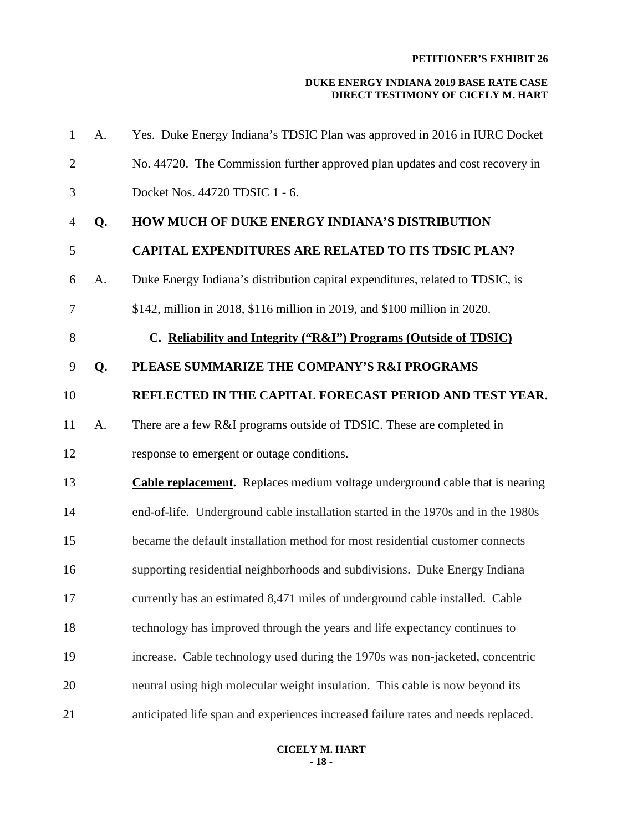#### **DUKE ENERGY INDIANA 2019 BASE RATE CASE DIRECT TESTIMONY OF CICELY M. HART**

| $\mathbf{1}$   | A. | Yes. Duke Energy Indiana's TDSIC Plan was approved in 2016 in IURC Docket           |
|----------------|----|-------------------------------------------------------------------------------------|
| $\overline{2}$ |    | No. 44720. The Commission further approved plan updates and cost recovery in        |
| 3              |    | Docket Nos. 44720 TDSIC 1 - 6.                                                      |
| 4              | Q. | HOW MUCH OF DUKE ENERGY INDIANA'S DISTRIBUTION                                      |
| 5              |    | <b>CAPITAL EXPENDITURES ARE RELATED TO ITS TDSIC PLAN?</b>                          |
| 6              | A. | Duke Energy Indiana's distribution capital expenditures, related to TDSIC, is       |
| 7              |    | \$142, million in 2018, \$116 million in 2019, and \$100 million in 2020.           |
| 8              |    | C. Reliability and Integrity ("R&I") Programs (Outside of TDSIC)                    |
| 9              | Q. | PLEASE SUMMARIZE THE COMPANY'S R&I PROGRAMS                                         |
| 10             |    | REFLECTED IN THE CAPITAL FORECAST PERIOD AND TEST YEAR.                             |
| 11             | A. | There are a few R&I programs outside of TDSIC. These are completed in               |
| 12             |    | response to emergent or outage conditions.                                          |
| 13             |    | <b>Cable replacement.</b> Replaces medium voltage underground cable that is nearing |
| 14             |    | end-of-life. Underground cable installation started in the 1970s and in the 1980s   |
| 15             |    | became the default installation method for most residential customer connects       |
| 16             |    | supporting residential neighborhoods and subdivisions. Duke Energy Indiana          |
| 17             |    | currently has an estimated 8,471 miles of underground cable installed. Cable        |
| 18             |    | technology has improved through the years and life expectancy continues to          |
| 19             |    | increase. Cable technology used during the 1970s was non-jacketed, concentric       |
| 20             |    | neutral using high molecular weight insulation. This cable is now beyond its        |
| 21             |    | anticipated life span and experiences increased failure rates and needs replaced.   |

#### **CICELY M. HART - 18 -**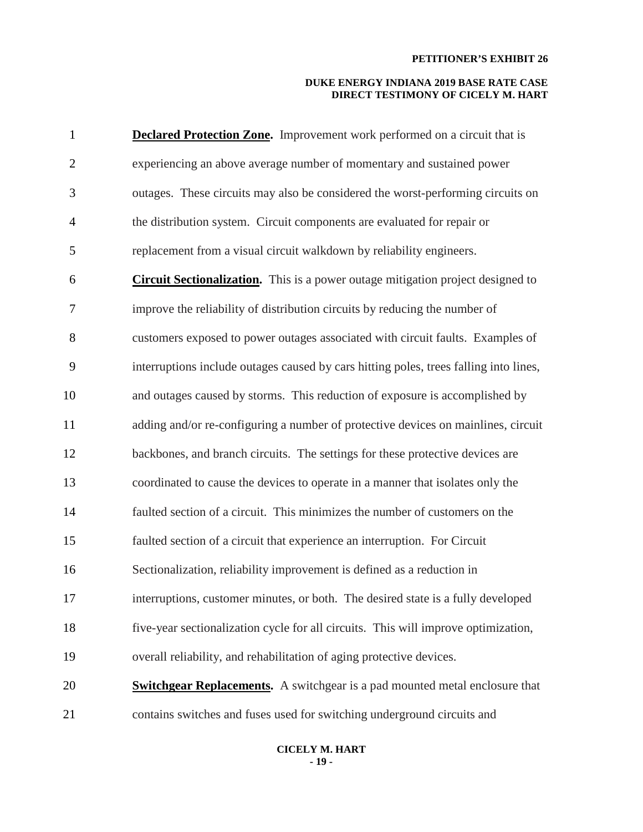| $\mathbf{1}$   | <b>Declared Protection Zone.</b> Improvement work performed on a circuit that is       |
|----------------|----------------------------------------------------------------------------------------|
| $\overline{2}$ | experiencing an above average number of momentary and sustained power                  |
| 3              | outages. These circuits may also be considered the worst-performing circuits on        |
| $\overline{4}$ | the distribution system. Circuit components are evaluated for repair or                |
| 5              | replacement from a visual circuit walkdown by reliability engineers.                   |
| 6              | <b>Circuit Sectionalization.</b> This is a power outage mitigation project designed to |
| 7              | improve the reliability of distribution circuits by reducing the number of             |
| 8              | customers exposed to power outages associated with circuit faults. Examples of         |
| 9              | interruptions include outages caused by cars hitting poles, trees falling into lines,  |
| 10             | and outages caused by storms. This reduction of exposure is accomplished by            |
| 11             | adding and/or re-configuring a number of protective devices on mainlines, circuit      |
| 12             | backbones, and branch circuits. The settings for these protective devices are          |
| 13             | coordinated to cause the devices to operate in a manner that isolates only the         |
| 14             | faulted section of a circuit. This minimizes the number of customers on the            |
| 15             | faulted section of a circuit that experience an interruption. For Circuit              |
| 16             | Sectionalization, reliability improvement is defined as a reduction in                 |
| 17             | interruptions, customer minutes, or both. The desired state is a fully developed       |
| 18             | five-year sectionalization cycle for all circuits. This will improve optimization,     |
| 19             | overall reliability, and rehabilitation of aging protective devices.                   |
| 20             | <b>Switchgear Replacements.</b> A switchgear is a pad mounted metal enclosure that     |
| 21             | contains switches and fuses used for switching underground circuits and                |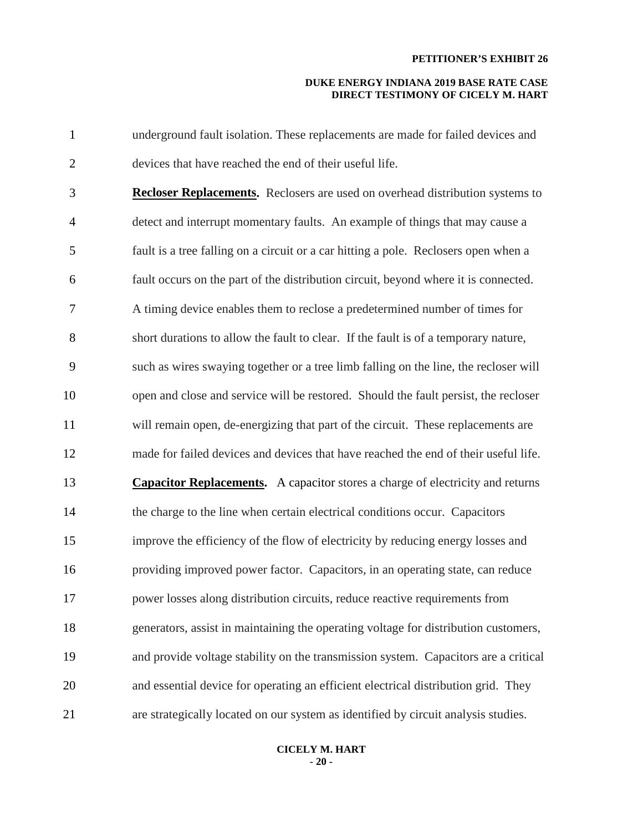#### **DUKE ENERGY INDIANA 2019 BASE RATE CASE DIRECT TESTIMONY OF CICELY M. HART**

| $\mathbf{1}$   | underground fault isolation. These replacements are made for failed devices and       |
|----------------|---------------------------------------------------------------------------------------|
| $\overline{2}$ | devices that have reached the end of their useful life.                               |
| 3              | <b>Recloser Replacements.</b> Reclosers are used on overhead distribution systems to  |
| $\overline{4}$ | detect and interrupt momentary faults. An example of things that may cause a          |
| 5              | fault is a tree falling on a circuit or a car hitting a pole. Reclosers open when a   |
| 6              | fault occurs on the part of the distribution circuit, beyond where it is connected.   |
| $\tau$         | A timing device enables them to reclose a predetermined number of times for           |
| 8              | short durations to allow the fault to clear. If the fault is of a temporary nature,   |
| 9              | such as wires swaying together or a tree limb falling on the line, the recloser will  |
| 10             | open and close and service will be restored. Should the fault persist, the recloser   |
| 11             | will remain open, de-energizing that part of the circuit. These replacements are      |
| 12             | made for failed devices and devices that have reached the end of their useful life.   |
| 13             | <b>Capacitor Replacements.</b> A capacitor stores a charge of electricity and returns |
| 14             | the charge to the line when certain electrical conditions occur. Capacitors           |
| 15             | improve the efficiency of the flow of electricity by reducing energy losses and       |
| 16             | providing improved power factor. Capacitors, in an operating state, can reduce        |
| 17             | power losses along distribution circuits, reduce reactive requirements from           |
| 18             | generators, assist in maintaining the operating voltage for distribution customers,   |
| 19             | and provide voltage stability on the transmission system. Capacitors are a critical   |
| 20             | and essential device for operating an efficient electrical distribution grid. They    |
| 21             | are strategically located on our system as identified by circuit analysis studies.    |

#### **CICELY M. HART - 20 -**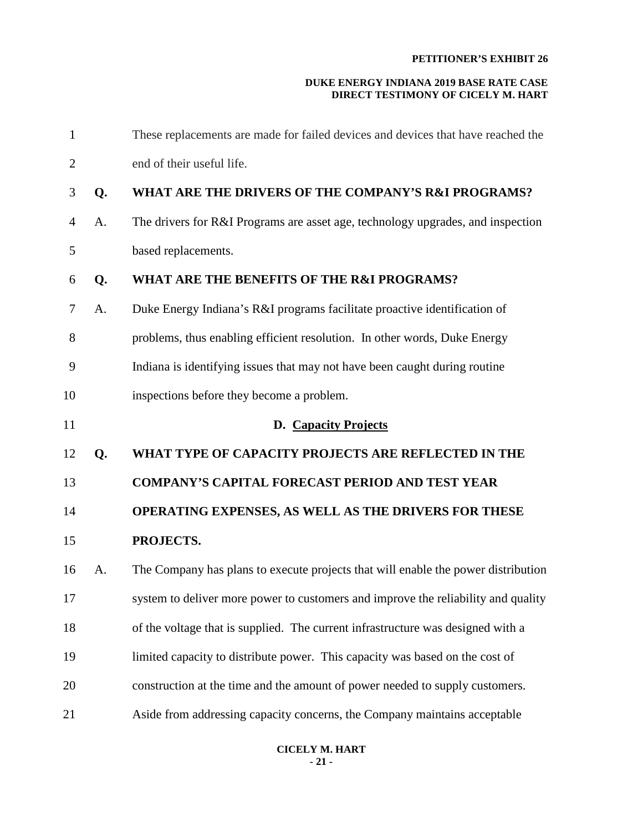| $\mathbf{1}$   |    | These replacements are made for failed devices and devices that have reached the  |
|----------------|----|-----------------------------------------------------------------------------------|
| $\overline{2}$ |    | end of their useful life.                                                         |
| 3              | Q. | WHAT ARE THE DRIVERS OF THE COMPANY'S R&I PROGRAMS?                               |
| $\overline{4}$ | A. | The drivers for R&I Programs are asset age, technology upgrades, and inspection   |
| 5              |    | based replacements.                                                               |
| 6              | Q. | WHAT ARE THE BENEFITS OF THE R&I PROGRAMS?                                        |
| 7              | A. | Duke Energy Indiana's R&I programs facilitate proactive identification of         |
| 8              |    | problems, thus enabling efficient resolution. In other words, Duke Energy         |
| 9              |    | Indiana is identifying issues that may not have been caught during routine        |
| 10             |    | inspections before they become a problem.                                         |
| 11             |    | D. Capacity Projects                                                              |
| 12             | Q. | WHAT TYPE OF CAPACITY PROJECTS ARE REFLECTED IN THE                               |
| 13             |    | <b>COMPANY'S CAPITAL FORECAST PERIOD AND TEST YEAR</b>                            |
| 14             |    | OPERATING EXPENSES, AS WELL AS THE DRIVERS FOR THESE                              |
| 15             |    | PROJECTS.                                                                         |
| 16             | A. | The Company has plans to execute projects that will enable the power distribution |
| 17             |    | system to deliver more power to customers and improve the reliability and quality |
| 18             |    | of the voltage that is supplied. The current infrastructure was designed with a   |
| 19             |    | limited capacity to distribute power. This capacity was based on the cost of      |
| 20             |    | construction at the time and the amount of power needed to supply customers.      |
| 21             |    | Aside from addressing capacity concerns, the Company maintains acceptable         |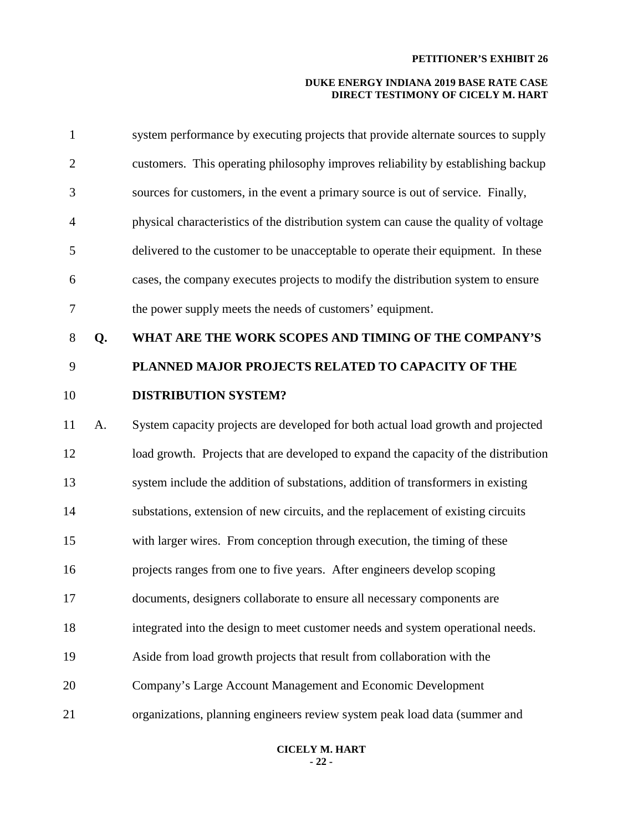#### **DUKE ENERGY INDIANA 2019 BASE RATE CASE DIRECT TESTIMONY OF CICELY M. HART**

| $\mathbf{1}$   |    | system performance by executing projects that provide alternate sources to supply    |
|----------------|----|--------------------------------------------------------------------------------------|
| $\overline{2}$ |    | customers. This operating philosophy improves reliability by establishing backup     |
| 3              |    | sources for customers, in the event a primary source is out of service. Finally,     |
| $\overline{4}$ |    | physical characteristics of the distribution system can cause the quality of voltage |
| 5              |    | delivered to the customer to be unacceptable to operate their equipment. In these    |
| 6              |    | cases, the company executes projects to modify the distribution system to ensure     |
| $\tau$         |    | the power supply meets the needs of customers' equipment.                            |
| 8              | Q. | WHAT ARE THE WORK SCOPES AND TIMING OF THE COMPANY'S                                 |
| 9              |    | PLANNED MAJOR PROJECTS RELATED TO CAPACITY OF THE                                    |
| 10             |    | <b>DISTRIBUTION SYSTEM?</b>                                                          |
| 11             | A. | System capacity projects are developed for both actual load growth and projected     |
| 12             |    | load growth. Projects that are developed to expand the capacity of the distribution  |
| 13             |    | system include the addition of substations, addition of transformers in existing     |
| 14             |    | substations, extension of new circuits, and the replacement of existing circuits     |
| 15             |    | with larger wires. From conception through execution, the timing of these            |
| 16             |    | projects ranges from one to five years. After engineers develop scoping              |
| 17             |    | documents, designers collaborate to ensure all necessary components are              |
| 18             |    | integrated into the design to meet customer needs and system operational needs.      |
| 19             |    | Aside from load growth projects that result from collaboration with the              |
| 20             |    | Company's Large Account Management and Economic Development                          |
| 21             |    | organizations, planning engineers review system peak load data (summer and           |

#### **CICELY M. HART - 22 -**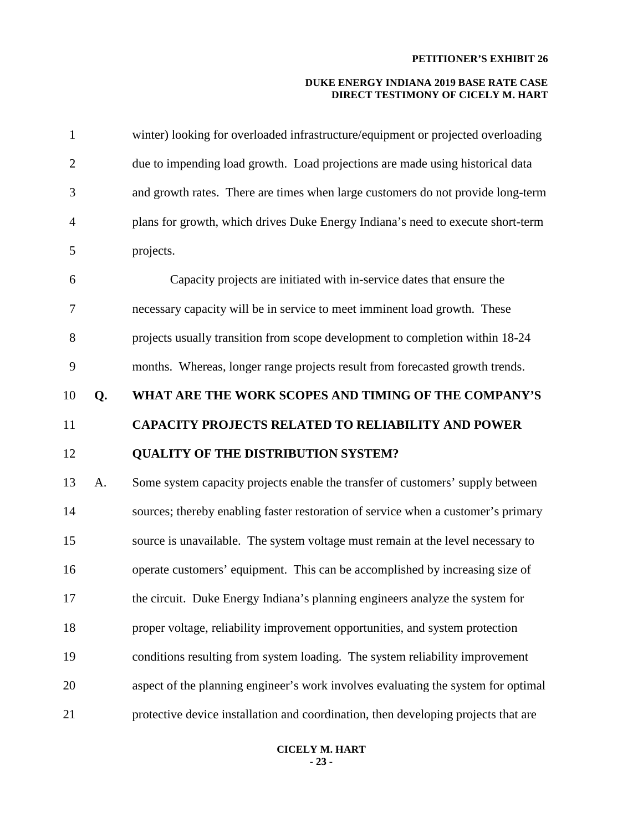#### **DUKE ENERGY INDIANA 2019 BASE RATE CASE DIRECT TESTIMONY OF CICELY M. HART**

| $\mathbf{1}$   |    | winter) looking for overloaded infrastructure/equipment or projected overloading  |
|----------------|----|-----------------------------------------------------------------------------------|
| $\mathbf{2}$   |    | due to impending load growth. Load projections are made using historical data     |
| 3              |    | and growth rates. There are times when large customers do not provide long-term   |
| $\overline{4}$ |    | plans for growth, which drives Duke Energy Indiana's need to execute short-term   |
| 5              |    | projects.                                                                         |
| 6              |    | Capacity projects are initiated with in-service dates that ensure the             |
| 7              |    | necessary capacity will be in service to meet imminent load growth. These         |
| 8              |    | projects usually transition from scope development to completion within 18-24     |
| 9              |    | months. Whereas, longer range projects result from forecasted growth trends.      |
| 10             | Q. | WHAT ARE THE WORK SCOPES AND TIMING OF THE COMPANY'S                              |
| 11             |    | <b>CAPACITY PROJECTS RELATED TO RELIABILITY AND POWER</b>                         |
| 12             |    | <b>QUALITY OF THE DISTRIBUTION SYSTEM?</b>                                        |
| 13             | A. |                                                                                   |
|                |    | Some system capacity projects enable the transfer of customers' supply between    |
| 14             |    | sources; thereby enabling faster restoration of service when a customer's primary |
| 15             |    | source is unavailable. The system voltage must remain at the level necessary to   |
| 16             |    | operate customers' equipment. This can be accomplished by increasing size of      |
| 17             |    | the circuit. Duke Energy Indiana's planning engineers analyze the system for      |
| 18             |    | proper voltage, reliability improvement opportunities, and system protection      |
| 19             |    | conditions resulting from system loading. The system reliability improvement      |
| 20             |    | aspect of the planning engineer's work involves evaluating the system for optimal |

#### **CICELY M. HART - 23 -**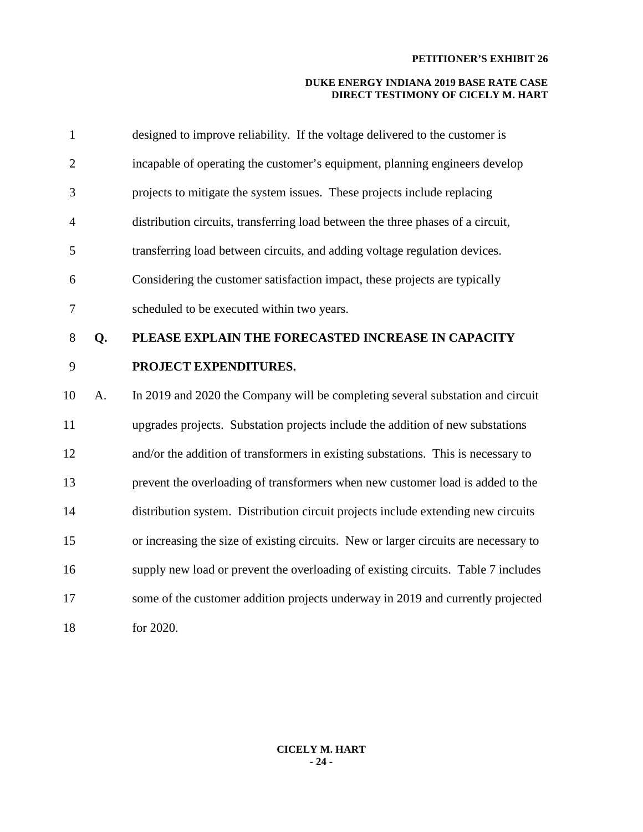| $\mathbf{1}$   |    | designed to improve reliability. If the voltage delivered to the customer is         |
|----------------|----|--------------------------------------------------------------------------------------|
| $\overline{2}$ |    | incapable of operating the customer's equipment, planning engineers develop          |
| 3              |    | projects to mitigate the system issues. These projects include replacing             |
| $\overline{4}$ |    | distribution circuits, transferring load between the three phases of a circuit,      |
| 5              |    | transferring load between circuits, and adding voltage regulation devices.           |
| 6              |    | Considering the customer satisfaction impact, these projects are typically           |
| 7              |    | scheduled to be executed within two years.                                           |
| 8              | Q. | PLEASE EXPLAIN THE FORECASTED INCREASE IN CAPACITY                                   |
| 9              |    | PROJECT EXPENDITURES.                                                                |
| 10             | A. | In 2019 and 2020 the Company will be completing several substation and circuit       |
| 11             |    | upgrades projects. Substation projects include the addition of new substations       |
| 12             |    | and/or the addition of transformers in existing substations. This is necessary to    |
| 13             |    | prevent the overloading of transformers when new customer load is added to the       |
| 14             |    | distribution system. Distribution circuit projects include extending new circuits    |
| 15             |    | or increasing the size of existing circuits. New or larger circuits are necessary to |
| 16             |    | supply new load or prevent the overloading of existing circuits. Table 7 includes    |
| 17             |    | some of the customer addition projects underway in 2019 and currently projected      |
| 18             |    | for 2020.                                                                            |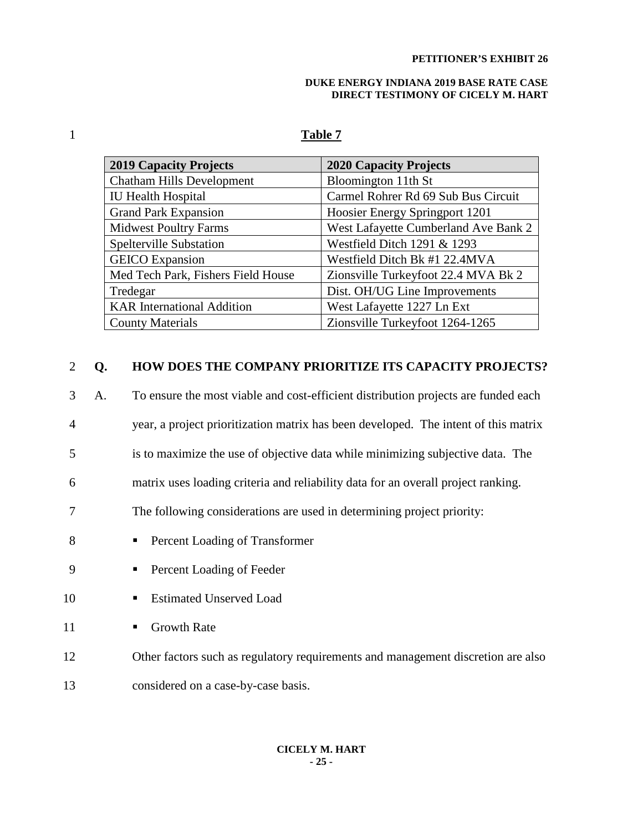#### **DUKE ENERGY INDIANA 2019 BASE RATE CASE DIRECT TESTIMONY OF CICELY M. HART**

# 1 **Table 7**

| <b>2019 Capacity Projects</b>      | <b>2020 Capacity Projects</b>        |
|------------------------------------|--------------------------------------|
| <b>Chatham Hills Development</b>   | Bloomington 11th St                  |
| <b>IU Health Hospital</b>          | Carmel Rohrer Rd 69 Sub Bus Circuit  |
| <b>Grand Park Expansion</b>        | Hoosier Energy Springport 1201       |
| <b>Midwest Poultry Farms</b>       | West Lafayette Cumberland Ave Bank 2 |
| <b>Spelterville Substation</b>     | Westfield Ditch 1291 & 1293          |
| <b>GEICO</b> Expansion             | Westfield Ditch Bk #1 22.4MVA        |
| Med Tech Park, Fishers Field House | Zionsville Turkeyfoot 22.4 MVA Bk 2  |
| Tredegar                           | Dist. OH/UG Line Improvements        |
| <b>KAR</b> International Addition  | West Lafayette 1227 Ln Ext           |
| <b>County Materials</b>            | Zionsville Turkeyfoot 1264-1265      |

#### 2 **Q. HOW DOES THE COMPANY PRIORITIZE ITS CAPACITY PROJECTS?**

|  | To ensure the most viable and cost-efficient distribution projects are funded each |
|--|------------------------------------------------------------------------------------|
|  |                                                                                    |

- 4 year, a project prioritization matrix has been developed. The intent of this matrix
- 5 is to maximize the use of objective data while minimizing subjective data. The

6 matrix uses loading criteria and reliability data for an overall project ranking.

- 7 The following considerations are used in determining project priority:
- 8 Percent Loading of Transformer
- 9 Percent Loading of Feeder
- 10 Estimated Unserved Load
- 11 Growth Rate
- 12 Other factors such as regulatory requirements and management discretion are also
- 13 considered on a case-by-case basis.

#### **CICELY M. HART - 25 -**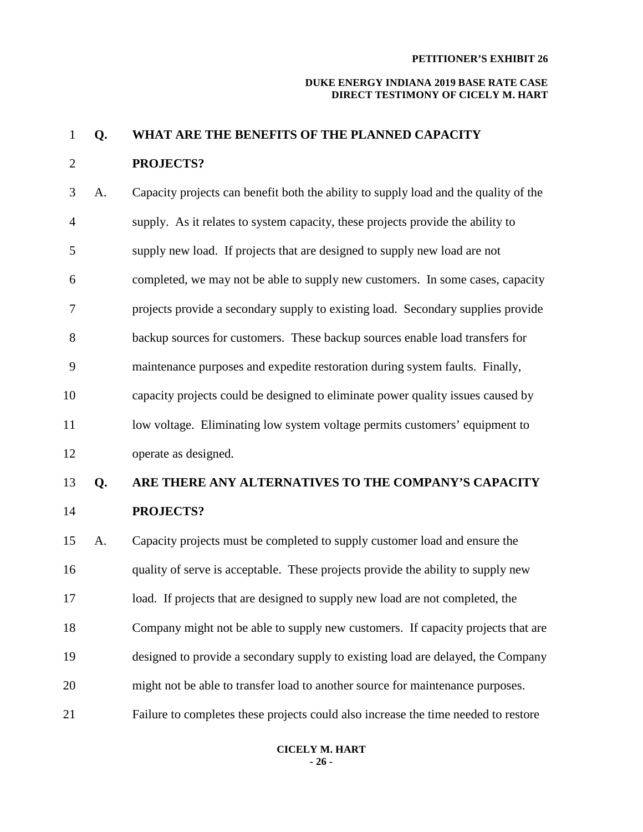#### **DUKE ENERGY INDIANA 2019 BASE RATE CASE DIRECT TESTIMONY OF CICELY M. HART**

# 1 **Q. WHAT ARE THE BENEFITS OF THE PLANNED CAPACITY**

# 2 **PROJECTS?**

3 A. Capacity projects can benefit both the ability to supply load and the quality of the 4 supply. As it relates to system capacity, these projects provide the ability to 5 supply new load. If projects that are designed to supply new load are not 6 completed, we may not be able to supply new customers. In some cases, capacity 7 projects provide a secondary supply to existing load. Secondary supplies provide 8 backup sources for customers. These backup sources enable load transfers for 9 maintenance purposes and expedite restoration during system faults. Finally, 10 capacity projects could be designed to eliminate power quality issues caused by 11 low voltage. Eliminating low system voltage permits customers' equipment to 12 operate as designed.

# 13 **Q. ARE THERE ANY ALTERNATIVES TO THE COMPANY'S CAPACITY**  14 **PROJECTS?**

15 A. Capacity projects must be completed to supply customer load and ensure the 16 quality of serve is acceptable. These projects provide the ability to supply new 17 load. If projects that are designed to supply new load are not completed, the 18 Company might not be able to supply new customers. If capacity projects that are 19 designed to provide a secondary supply to existing load are delayed, the Company 20 might not be able to transfer load to another source for maintenance purposes. 21 Failure to completes these projects could also increase the time needed to restore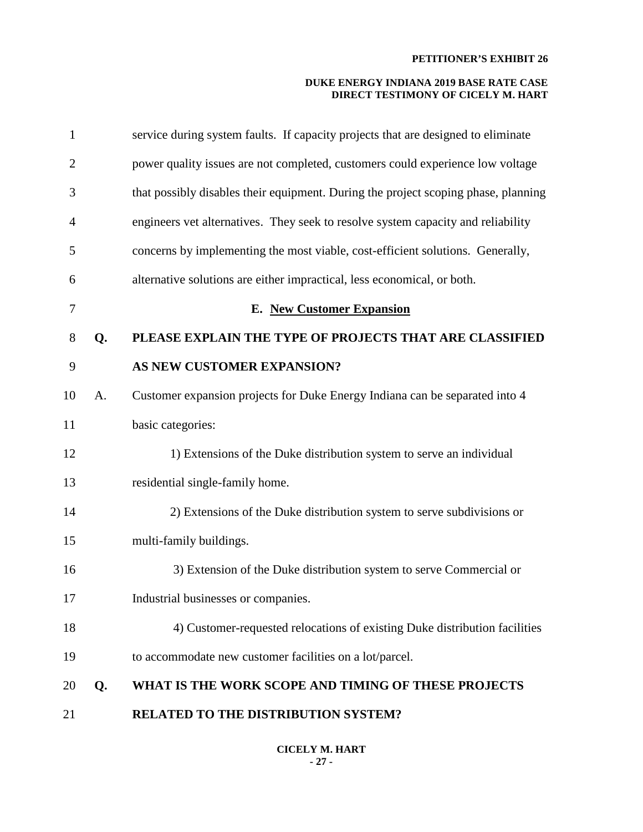| $\mathbf{1}$   |    | service during system faults. If capacity projects that are designed to eliminate  |
|----------------|----|------------------------------------------------------------------------------------|
| $\overline{2}$ |    | power quality issues are not completed, customers could experience low voltage     |
| 3              |    | that possibly disables their equipment. During the project scoping phase, planning |
| 4              |    | engineers vet alternatives. They seek to resolve system capacity and reliability   |
| 5              |    | concerns by implementing the most viable, cost-efficient solutions. Generally,     |
| 6              |    | alternative solutions are either impractical, less economical, or both.            |
| 7              |    | <b>E.</b> New Customer Expansion                                                   |
| 8              | Q. | PLEASE EXPLAIN THE TYPE OF PROJECTS THAT ARE CLASSIFIED                            |
| 9              |    | AS NEW CUSTOMER EXPANSION?                                                         |
| 10             | A. | Customer expansion projects for Duke Energy Indiana can be separated into 4        |
| 11             |    | basic categories:                                                                  |
| 12             |    | 1) Extensions of the Duke distribution system to serve an individual               |
| 13             |    | residential single-family home.                                                    |
| 14             |    | 2) Extensions of the Duke distribution system to serve subdivisions or             |
| 15             |    | multi-family buildings.                                                            |
| 16             |    | 3) Extension of the Duke distribution system to serve Commercial or                |
| 17             |    | Industrial businesses or companies.                                                |
| 18             |    | 4) Customer-requested relocations of existing Duke distribution facilities         |
| 19             |    | to accommodate new customer facilities on a lot/parcel.                            |
| 20             | Q. | WHAT IS THE WORK SCOPE AND TIMING OF THESE PROJECTS                                |
| 21             |    | RELATED TO THE DISTRIBUTION SYSTEM?                                                |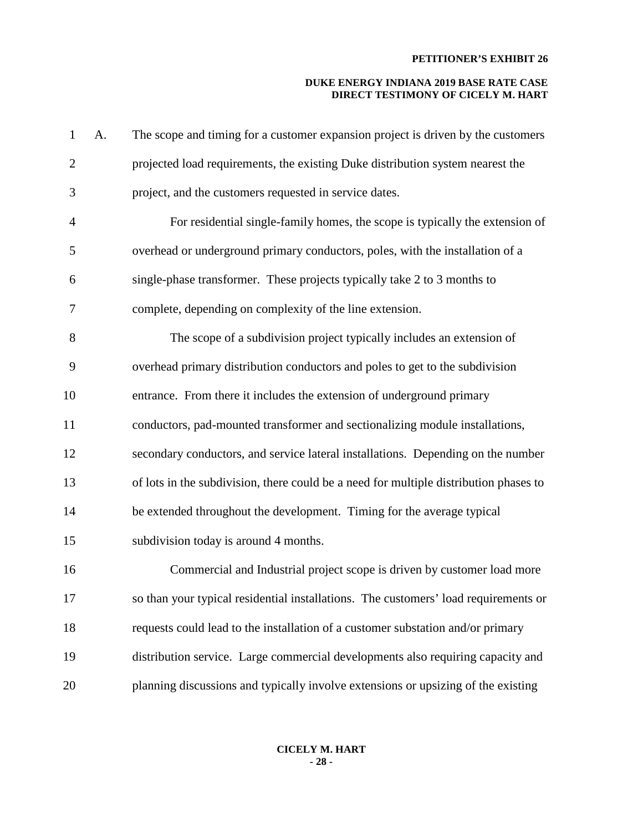| $\mathbf 1$    | A. | The scope and timing for a customer expansion project is driven by the customers      |
|----------------|----|---------------------------------------------------------------------------------------|
| $\mathbf{2}$   |    | projected load requirements, the existing Duke distribution system nearest the        |
| 3              |    | project, and the customers requested in service dates.                                |
| $\overline{4}$ |    | For residential single-family homes, the scope is typically the extension of          |
| 5              |    | overhead or underground primary conductors, poles, with the installation of a         |
| 6              |    | single-phase transformer. These projects typically take 2 to 3 months to              |
| $\tau$         |    | complete, depending on complexity of the line extension.                              |
| 8              |    | The scope of a subdivision project typically includes an extension of                 |
| 9              |    | overhead primary distribution conductors and poles to get to the subdivision          |
| 10             |    | entrance. From there it includes the extension of underground primary                 |
| 11             |    | conductors, pad-mounted transformer and sectionalizing module installations,          |
| 12             |    | secondary conductors, and service lateral installations. Depending on the number      |
| 13             |    | of lots in the subdivision, there could be a need for multiple distribution phases to |
| 14             |    | be extended throughout the development. Timing for the average typical                |
| 15             |    | subdivision today is around 4 months.                                                 |
| 16             |    | Commercial and Industrial project scope is driven by customer load more               |
| 17             |    | so than your typical residential installations. The customers' load requirements or   |
| 18             |    | requests could lead to the installation of a customer substation and/or primary       |
| 19             |    | distribution service. Large commercial developments also requiring capacity and       |
| 20             |    | planning discussions and typically involve extensions or upsizing of the existing     |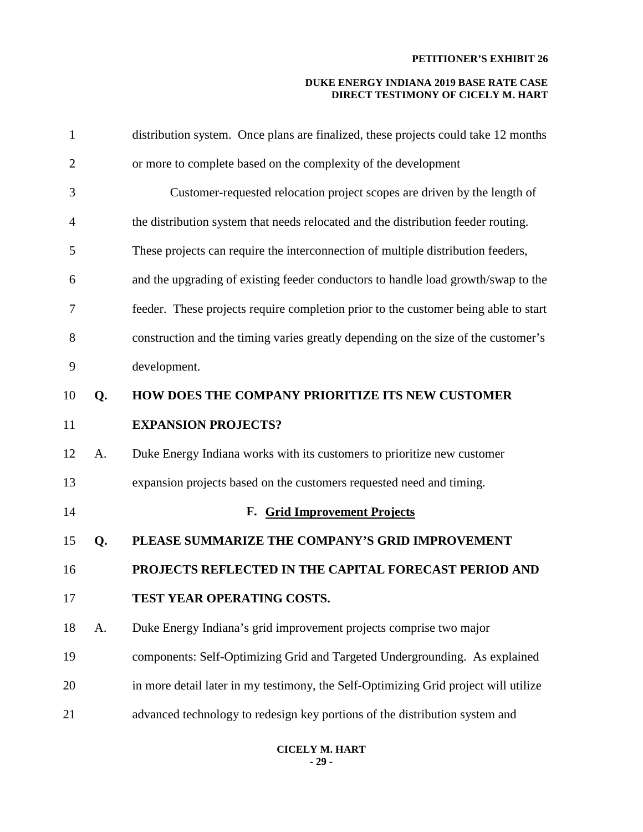| $\mathbf{1}$   |    | distribution system. Once plans are finalized, these projects could take 12 months  |
|----------------|----|-------------------------------------------------------------------------------------|
| $\overline{2}$ |    | or more to complete based on the complexity of the development                      |
| 3              |    | Customer-requested relocation project scopes are driven by the length of            |
| $\overline{4}$ |    | the distribution system that needs relocated and the distribution feeder routing.   |
| 5              |    | These projects can require the interconnection of multiple distribution feeders,    |
| 6              |    | and the upgrading of existing feeder conductors to handle load growth/swap to the   |
| $\tau$         |    | feeder. These projects require completion prior to the customer being able to start |
| 8              |    | construction and the timing varies greatly depending on the size of the customer's  |
| 9              |    | development.                                                                        |
| 10             | Q. | HOW DOES THE COMPANY PRIORITIZE ITS NEW CUSTOMER                                    |
| 11             |    | <b>EXPANSION PROJECTS?</b>                                                          |
| 12             | A. | Duke Energy Indiana works with its customers to prioritize new customer             |
| 13             |    | expansion projects based on the customers requested need and timing.                |
| 14             |    | F. Grid Improvement Projects                                                        |
| 15             | Q. | PLEASE SUMMARIZE THE COMPANY'S GRID IMPROVEMENT                                     |
| 16             |    | PROJECTS REFLECTED IN THE CAPITAL FORECAST PERIOD AND                               |
| 17             |    | TEST YEAR OPERATING COSTS.                                                          |
| 18             | A. | Duke Energy Indiana's grid improvement projects comprise two major                  |
| 19             |    | components: Self-Optimizing Grid and Targeted Undergrounding. As explained          |
| 20             |    | in more detail later in my testimony, the Self-Optimizing Grid project will utilize |
| 21             |    | advanced technology to redesign key portions of the distribution system and         |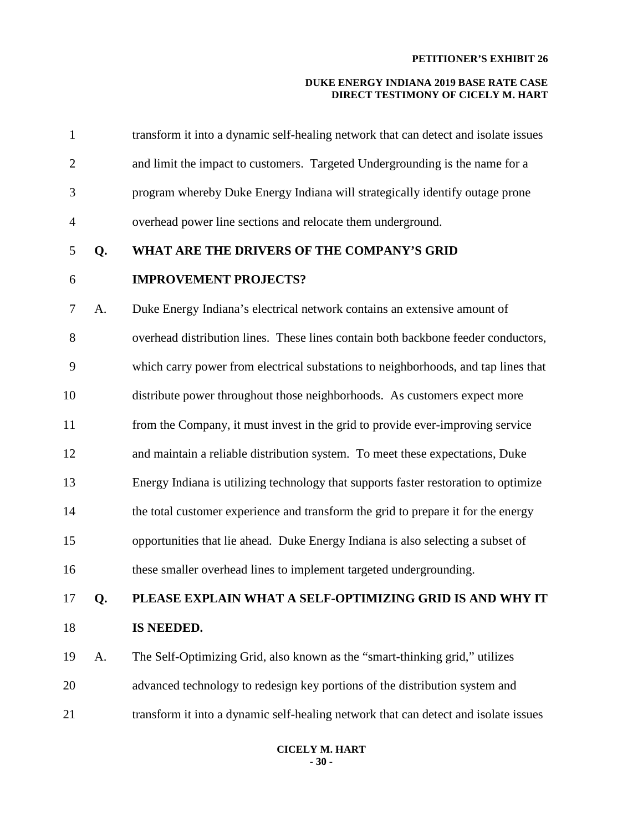| $\mathbf{1}$   |    | transform it into a dynamic self-healing network that can detect and isolate issues |
|----------------|----|-------------------------------------------------------------------------------------|
| $\overline{2}$ |    | and limit the impact to customers. Targeted Undergrounding is the name for a        |
| 3              |    | program whereby Duke Energy Indiana will strategically identify outage prone        |
| 4              |    | overhead power line sections and relocate them underground.                         |
| 5              | Q. | WHAT ARE THE DRIVERS OF THE COMPANY'S GRID                                          |
| 6              |    | <b>IMPROVEMENT PROJECTS?</b>                                                        |
| 7              | A. | Duke Energy Indiana's electrical network contains an extensive amount of            |
| 8              |    | overhead distribution lines. These lines contain both backbone feeder conductors,   |
| 9              |    | which carry power from electrical substations to neighborhoods, and tap lines that  |
| 10             |    | distribute power throughout those neighborhoods. As customers expect more           |
| 11             |    | from the Company, it must invest in the grid to provide ever-improving service      |
| 12             |    | and maintain a reliable distribution system. To meet these expectations, Duke       |
| 13             |    | Energy Indiana is utilizing technology that supports faster restoration to optimize |
| 14             |    | the total customer experience and transform the grid to prepare it for the energy   |
| 15             |    | opportunities that lie ahead. Duke Energy Indiana is also selecting a subset of     |
| 16             |    | these smaller overhead lines to implement targeted undergrounding.                  |
| 17             | Q. | PLEASE EXPLAIN WHAT A SELF-OPTIMIZING GRID IS AND WHY IT                            |
| 18             |    | IS NEEDED.                                                                          |
| 19             | A. | The Self-Optimizing Grid, also known as the "smart-thinking grid," utilizes         |
| 20             |    | advanced technology to redesign key portions of the distribution system and         |
| 21             |    | transform it into a dynamic self-healing network that can detect and isolate issues |
|                |    |                                                                                     |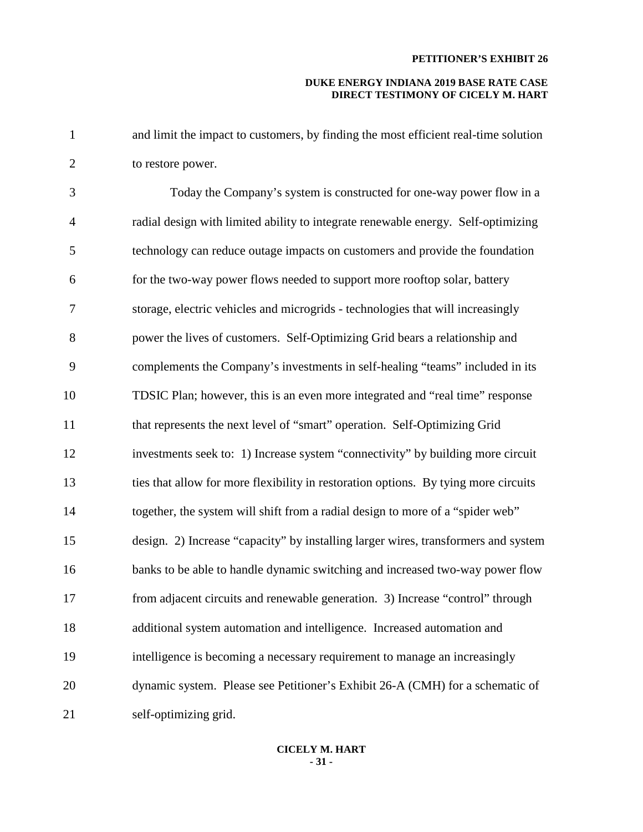#### **DUKE ENERGY INDIANA 2019 BASE RATE CASE DIRECT TESTIMONY OF CICELY M. HART**

1 and limit the impact to customers, by finding the most efficient real-time solution 2 to restore power.

3 Today the Company's system is constructed for one-way power flow in a 4 radial design with limited ability to integrate renewable energy. Self-optimizing 5 technology can reduce outage impacts on customers and provide the foundation 6 for the two-way power flows needed to support more rooftop solar, battery 7 storage, electric vehicles and microgrids - technologies that will increasingly 8 power the lives of customers. Self-Optimizing Grid bears a relationship and 9 complements the Company's investments in self-healing "teams" included in its 10 TDSIC Plan; however, this is an even more integrated and "real time" response 11 that represents the next level of "smart" operation. Self-Optimizing Grid 12 investments seek to: 1) Increase system "connectivity" by building more circuit 13 ties that allow for more flexibility in restoration options. By tying more circuits 14 together, the system will shift from a radial design to more of a "spider web" 15 design. 2) Increase "capacity" by installing larger wires, transformers and system 16 banks to be able to handle dynamic switching and increased two-way power flow 17 from adjacent circuits and renewable generation. 3) Increase "control" through 18 additional system automation and intelligence. Increased automation and 19 intelligence is becoming a necessary requirement to manage an increasingly 20 dynamic system. Please see Petitioner's Exhibit 26-A (CMH) for a schematic of 21 self-optimizing grid.

#### **CICELY M. HART - 31 -**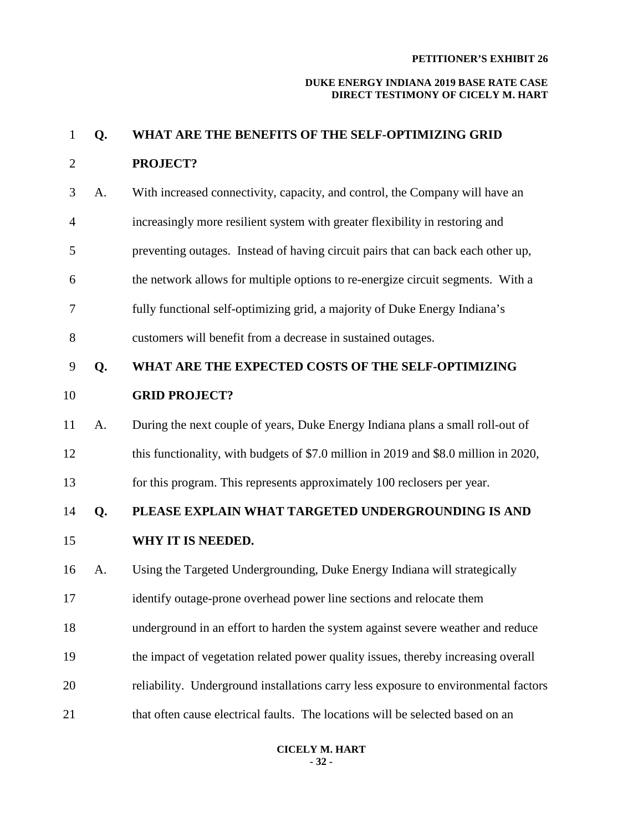#### **DUKE ENERGY INDIANA 2019 BASE RATE CASE DIRECT TESTIMONY OF CICELY M. HART**

# 1 **Q. WHAT ARE THE BENEFITS OF THE SELF-OPTIMIZING GRID** 2 **PROJECT?**

- 3 A. With increased connectivity, capacity, and control, the Company will have an 4 increasingly more resilient system with greater flexibility in restoring and 5 preventing outages. Instead of having circuit pairs that can back each other up, 6 the network allows for multiple options to re-energize circuit segments. With a
- 7 fully functional self-optimizing grid, a majority of Duke Energy Indiana's
- 8 customers will benefit from a decrease in sustained outages.

# 9 **Q. WHAT ARE THE EXPECTED COSTS OF THE SELF-OPTIMIZING**  10 **GRID PROJECT?**

- 11 A. During the next couple of years, Duke Energy Indiana plans a small roll-out of 12 this functionality, with budgets of \$7.0 million in 2019 and \$8.0 million in 2020,
- 13 for this program. This represents approximately 100 reclosers per year.

# 14 **Q. PLEASE EXPLAIN WHAT TARGETED UNDERGROUNDING IS AND**

- 15 **WHY IT IS NEEDED.**
- 16 A. Using the Targeted Undergrounding, Duke Energy Indiana will strategically
- 17 identify outage-prone overhead power line sections and relocate them
- 18 underground in an effort to harden the system against severe weather and reduce
- 19 the impact of vegetation related power quality issues, thereby increasing overall
- 20 reliability. Underground installations carry less exposure to environmental factors
- 21 that often cause electrical faults. The locations will be selected based on an

#### **CICELY M. HART - 32 -**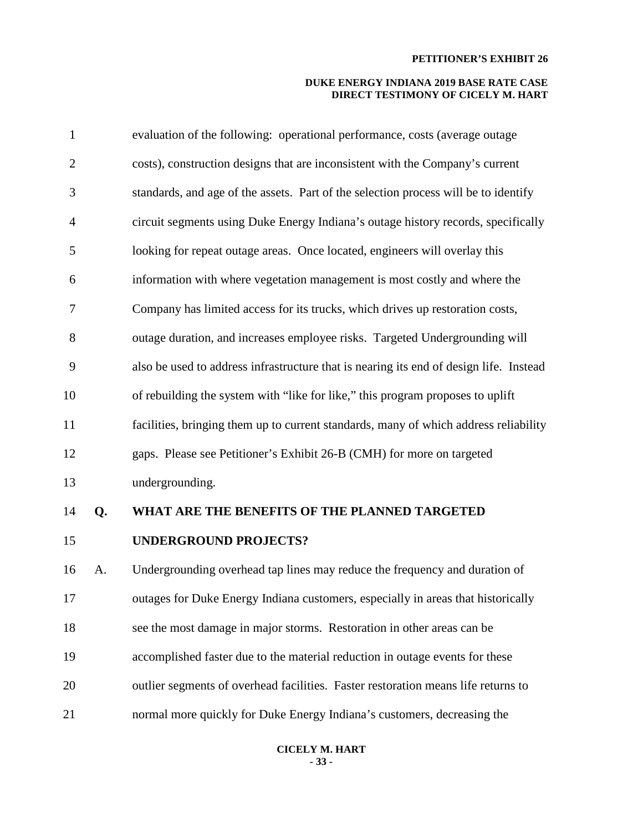| $\mathbf{1}$   |    | evaluation of the following: operational performance, costs (average outage            |
|----------------|----|----------------------------------------------------------------------------------------|
| $\overline{2}$ |    | costs), construction designs that are inconsistent with the Company's current          |
| 3              |    | standards, and age of the assets. Part of the selection process will be to identify    |
| $\overline{4}$ |    | circuit segments using Duke Energy Indiana's outage history records, specifically      |
| 5              |    | looking for repeat outage areas. Once located, engineers will overlay this             |
| 6              |    | information with where vegetation management is most costly and where the              |
| 7              |    | Company has limited access for its trucks, which drives up restoration costs,          |
| 8              |    | outage duration, and increases employee risks. Targeted Undergrounding will            |
| 9              |    | also be used to address infrastructure that is nearing its end of design life. Instead |
| 10             |    | of rebuilding the system with "like for like," this program proposes to uplift         |
| 11             |    | facilities, bringing them up to current standards, many of which address reliability   |
| 12             |    | gaps. Please see Petitioner's Exhibit 26-B (CMH) for more on targeted                  |
| 13             |    | undergrounding.                                                                        |
| 14             | Q. | WHAT ARE THE BENEFITS OF THE PLANNED TARGETED                                          |
| 15             |    | <b>UNDERGROUND PROJECTS?</b>                                                           |
| 16             | A. | Undergrounding overhead tap lines may reduce the frequency and duration of             |
| 17             |    | outages for Duke Energy Indiana customers, especially in areas that historically       |
| 18             |    | see the most damage in major storms. Restoration in other areas can be                 |
| 19             |    | accomplished faster due to the material reduction in outage events for these           |
| 20             |    | outlier segments of overhead facilities. Faster restoration means life returns to      |
| 21             |    | normal more quickly for Duke Energy Indiana's customers, decreasing the                |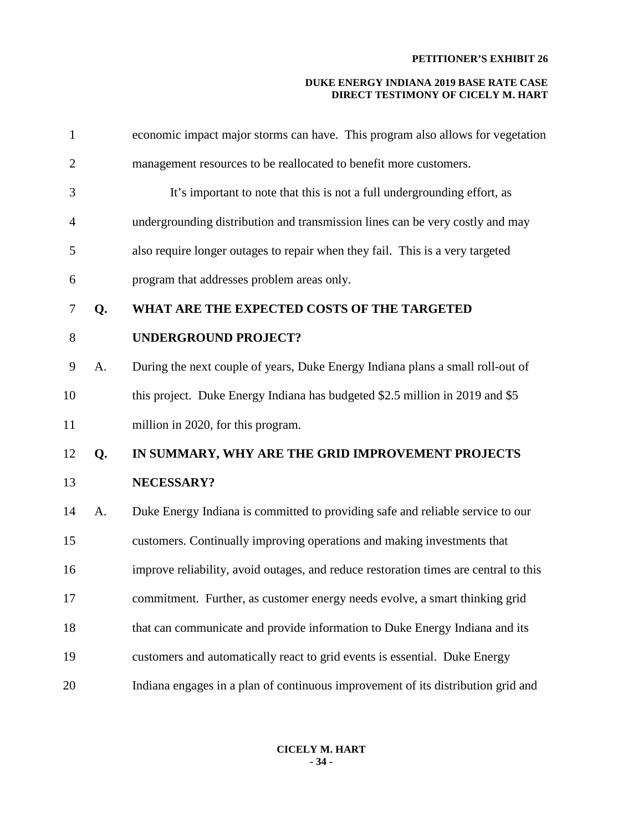| $\mathbf{1}$   |    | economic impact major storms can have. This program also allows for vegetation       |
|----------------|----|--------------------------------------------------------------------------------------|
| $\overline{2}$ |    | management resources to be reallocated to benefit more customers.                    |
| 3              |    | It's important to note that this is not a full undergrounding effort, as             |
| $\overline{4}$ |    | undergrounding distribution and transmission lines can be very costly and may        |
| 5              |    | also require longer outages to repair when they fail. This is a very targeted        |
| 6              |    | program that addresses problem areas only.                                           |
| 7              | Q. | WHAT ARE THE EXPECTED COSTS OF THE TARGETED                                          |
| 8              |    | <b>UNDERGROUND PROJECT?</b>                                                          |
| 9              | A. | During the next couple of years, Duke Energy Indiana plans a small roll-out of       |
| 10             |    | this project. Duke Energy Indiana has budgeted \$2.5 million in 2019 and \$5         |
| 11             |    | million in 2020, for this program.                                                   |
| 12             | Q. | IN SUMMARY, WHY ARE THE GRID IMPROVEMENT PROJECTS                                    |
| 13             |    | NECESSARY?                                                                           |
| 14             | A. | Duke Energy Indiana is committed to providing safe and reliable service to our       |
| 15             |    | customers. Continually improving operations and making investments that              |
| 16             |    | improve reliability, avoid outages, and reduce restoration times are central to this |
| 17             |    | commitment. Further, as customer energy needs evolve, a smart thinking grid          |
| 18             |    | that can communicate and provide information to Duke Energy Indiana and its          |
| 19             |    | customers and automatically react to grid events is essential. Duke Energy           |
| 20             |    | Indiana engages in a plan of continuous improvement of its distribution grid and     |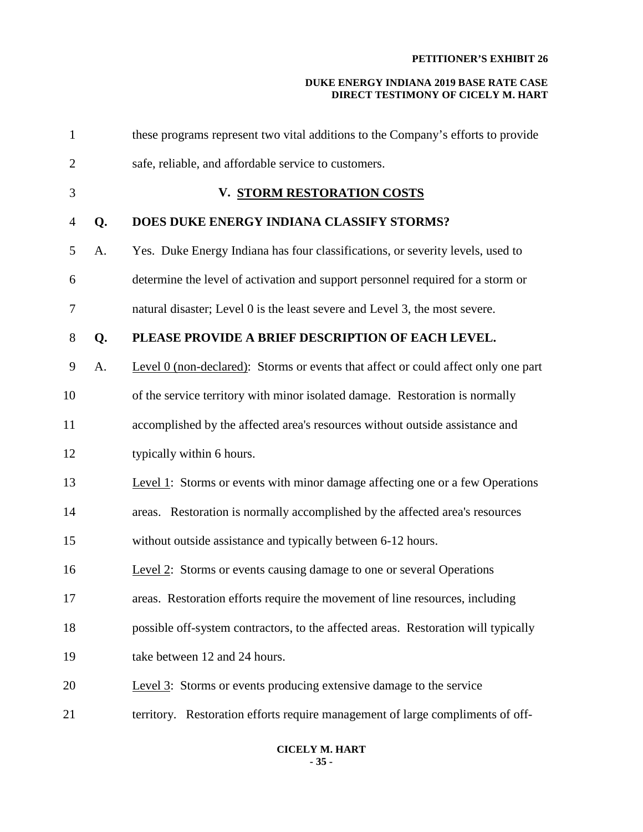#### **DUKE ENERGY INDIANA 2019 BASE RATE CASE DIRECT TESTIMONY OF CICELY M. HART**

| $\mathbf{1}$   |    | these programs represent two vital additions to the Company's efforts to provide   |
|----------------|----|------------------------------------------------------------------------------------|
| $\overline{2}$ |    | safe, reliable, and affordable service to customers.                               |
| 3              |    | V. STORM RESTORATION COSTS                                                         |
| $\overline{4}$ | Q. | DOES DUKE ENERGY INDIANA CLASSIFY STORMS?                                          |
| 5              | A. | Yes. Duke Energy Indiana has four classifications, or severity levels, used to     |
| 6              |    | determine the level of activation and support personnel required for a storm or    |
| $\tau$         |    | natural disaster; Level 0 is the least severe and Level 3, the most severe.        |
| $8\,$          | Q. | PLEASE PROVIDE A BRIEF DESCRIPTION OF EACH LEVEL.                                  |
| 9              | A. | Level 0 (non-declared): Storms or events that affect or could affect only one part |
| 10             |    | of the service territory with minor isolated damage. Restoration is normally       |
| 11             |    | accomplished by the affected area's resources without outside assistance and       |
| 12             |    | typically within 6 hours.                                                          |
| 13             |    | Level 1: Storms or events with minor damage affecting one or a few Operations      |
| 14             |    | areas. Restoration is normally accomplished by the affected area's resources       |
| 15             |    | without outside assistance and typically between 6-12 hours.                       |
| 16             |    | Level 2: Storms or events causing damage to one or several Operations              |
| 17             |    | areas. Restoration efforts require the movement of line resources, including       |
| 18             |    | possible off-system contractors, to the affected areas. Restoration will typically |
| 19             |    | take between 12 and 24 hours.                                                      |
| 20             |    | Level 3: Storms or events producing extensive damage to the service                |
| 21             |    | territory. Restoration efforts require management of large compliments of off-     |

#### **CICELY M. HART - 35 -**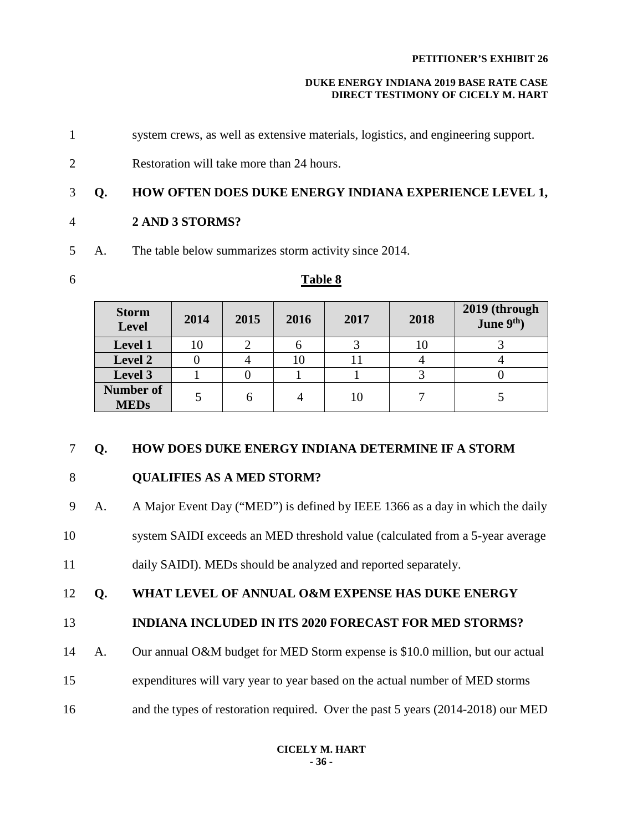#### **DUKE ENERGY INDIANA 2019 BASE RATE CASE DIRECT TESTIMONY OF CICELY M. HART**

- 1 system crews, as well as extensive materials, logistics, and engineering support.
- 2 Restoration will take more than 24 hours.

# 3 **Q. HOW OFTEN DOES DUKE ENERGY INDIANA EXPERIENCE LEVEL 1,**

- 4 **2 AND 3 STORMS?**
- 5 A. The table below summarizes storm activity since 2014.
- 6 **Table 8**

# **Storm Level 2014 2015 2016 2017 2018 2019 (through June 9th) Level 1**  $\begin{array}{c|c|c|c|c|c|c|c|c} \n10 & 10 & 2 & 6 & 3 & 10 & 3 \n\end{array}$ **Level 2** 0 4 10 11 4 4 **Level 3** | 1 | 0 | 1 | 1 | 3 | 0 **Number of MEDs** 5 6 4 10 7 5

# 7 **Q. HOW DOES DUKE ENERGY INDIANA DETERMINE IF A STORM**

# 8 **QUALIFIES AS A MED STORM?**

9 A. A Major Event Day ("MED") is defined by IEEE 1366 as a day in which the daily

- 10 system SAIDI exceeds an MED threshold value (calculated from a 5-year average
- 11 daily SAIDI). MEDs should be analyzed and reported separately.
- 12 **Q. WHAT LEVEL OF ANNUAL O&M EXPENSE HAS DUKE ENERGY**

# 13 **INDIANA INCLUDED IN ITS 2020 FORECAST FOR MED STORMS?**

- 14 A. Our annual O&M budget for MED Storm expense is \$10.0 million, but our actual
- 15 expenditures will vary year to year based on the actual number of MED storms
- 16 and the types of restoration required. Over the past 5 years (2014-2018) our MED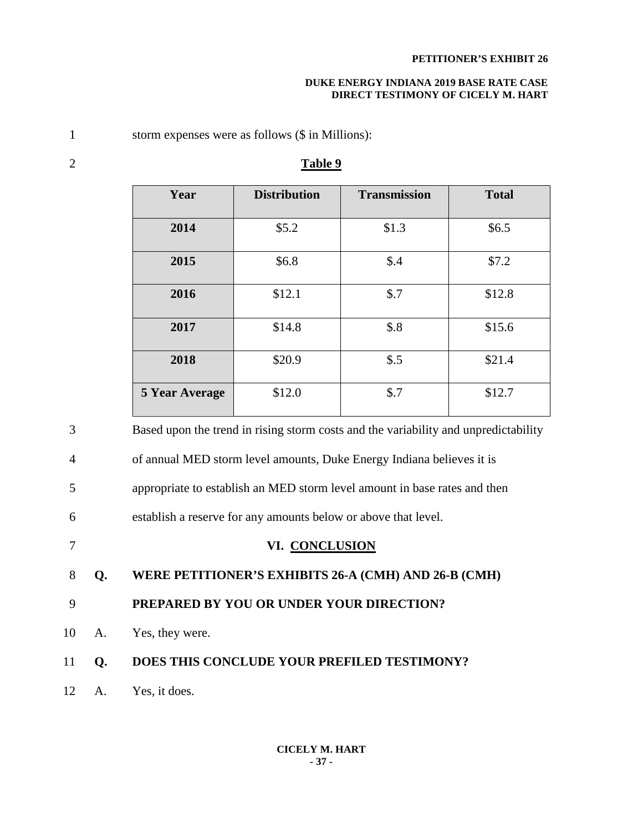#### **DUKE ENERGY INDIANA 2019 BASE RATE CASE DIRECT TESTIMONY OF CICELY M. HART**

1 storm expenses were as follows (\$ in Millions):

| Year                  | <b>Distribution</b> | <b>Transmission</b> | <b>Total</b> |
|-----------------------|---------------------|---------------------|--------------|
| 2014                  | \$5.2               | \$1.3               | \$6.5        |
| 2015                  | \$6.8               | \$.4                | \$7.2        |
| 2016                  | \$12.1              | \$.7                | \$12.8       |
| 2017                  | \$14.8              | \$.8                | \$15.6       |
| 2018                  | \$20.9              | \$.5                | \$21.4       |
| <b>5 Year Average</b> | \$12.0              | \$.7                | \$12.7       |

## 2 **Table 9**

3 Based upon the trend in rising storm costs and the variability and unpredictability 4 of annual MED storm level amounts, Duke Energy Indiana believes it is 5 appropriate to establish an MED storm level amount in base rates and then 6 establish a reserve for any amounts below or above that level. 7 **VI. CONCLUSION** 8 **Q. WERE PETITIONER'S EXHIBITS 26-A (CMH) AND 26-B (CMH)**  9 **PREPARED BY YOU OR UNDER YOUR DIRECTION?** 10 A. Yes, they were. 11 **Q. DOES THIS CONCLUDE YOUR PREFILED TESTIMONY?** 12 A. Yes, it does.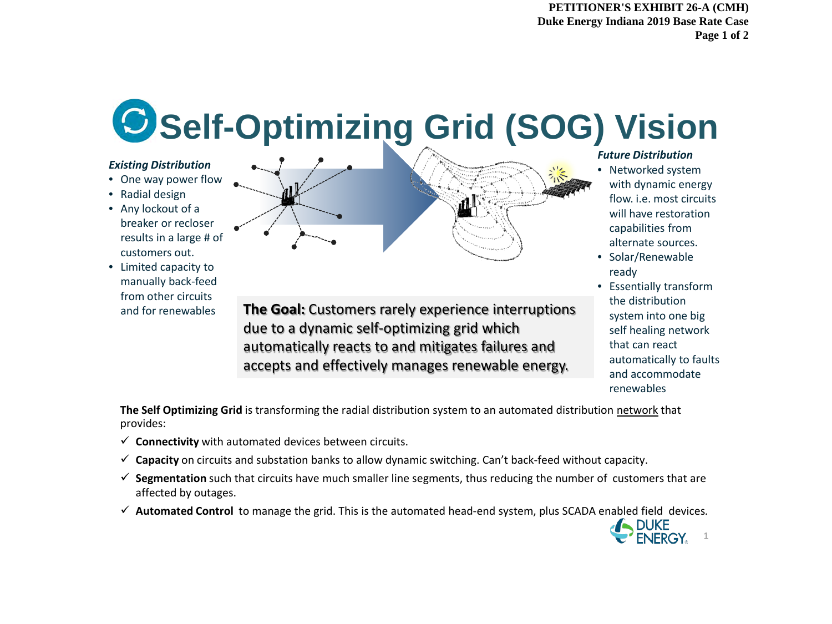**PETITIONER'S EXHIBIT 26-A (CMH) Duke Energy Indiana 2019 Base Rate Case Page 1 of 2**

# **Self-Optimizing Grid (SOG) Vision**

#### *Existing Distribution*

- One way power flow
- Radial design
- Any lockout of a breaker or recloser results in a large # of customers out.
- Limited capacity to manually back-feed from other circuits and for renewables



**The Goal:** Customers rarely experience interruptions due to a dynamic self-optimizing grid which automatically reacts to and mitigates failures and accepts and effectively manages renewable energy.

#### *Future Distribution*

- Networked system with dynamic energy flow. i.e. most circuits will have restoration capabilities from alternate sources.
- Solar/Renewable ready
- Essentially transform the distribution system into one big self healing network that can react automatically to faults and accommodate renewables

DUKE<br>ENERGY<sub>8</sub><sup>1</sup>

**The Self Optimizing Grid** is transforming the radial distribution system to an automated distribution network that provides:

- $\checkmark$  Connectivity with automated devices between circuits.
- **Capacity** on circuits and substation banks to allow dynamic switching. Can't back-feed without capacity.
- **Segmentation** such that circuits have much smaller line segments, thus reducing the number of customers that are affected by outages.
- **Automated Control** to manage the grid. This is the automated head-end system, plus SCADA enabled field devices*.*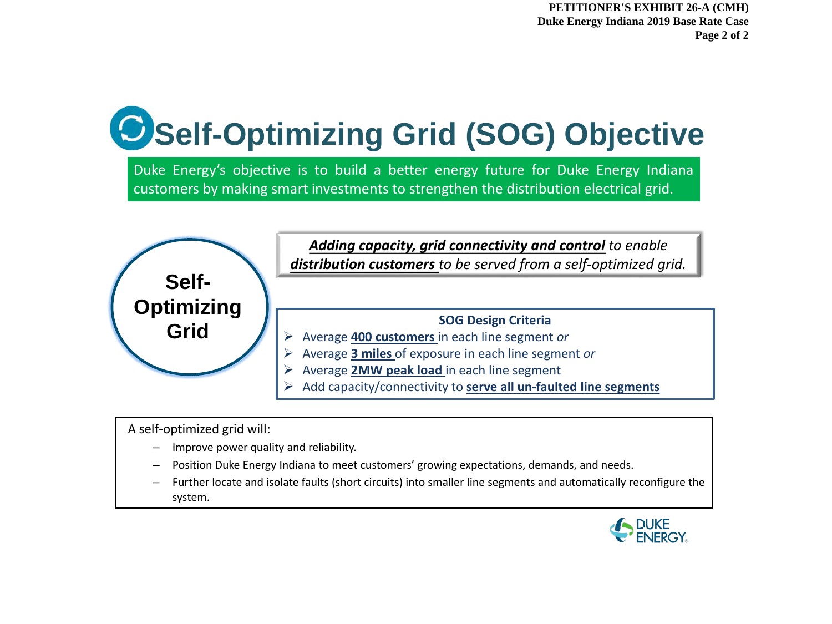**PETITIONER'S EXHIBIT 26-A (CMH) Duke Energy Indiana 2019 Base Rate Case Page 2 of 2**

# **Self-Optimizing Grid (SOG) Objective**

Duke Energy's objective is to build a better energy future for Duke Energy Indiana customers by making smart investments to strengthen the distribution electrical grid.



A self-optimized grid will:

- Improve power quality and reliability.
- Position Duke Energy Indiana to meet customers' growing expectations, demands, and needs.
- Further locate and isolate faults (short circuits) into smaller line segments and automatically reconfigure the system.

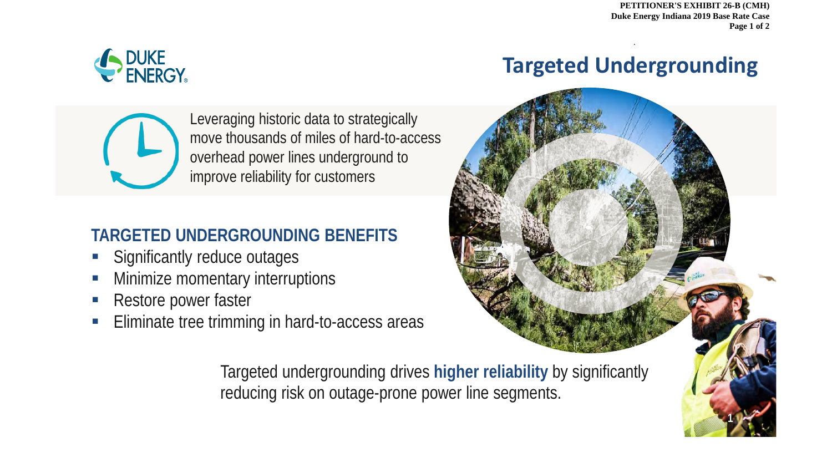**PETITIONER'S EXHIBIT 26-B (CMH) Duke Energy Indiana 2019 Base Rate Case Page 1 of 2**

1

**1**



# **Targeted Undergrounding**

.



Leveraging historic data to strategically move thousands of miles of hard-to-access overhead power lines underground to improve reliability for customers

# **TARGETED UNDERGROUNDING BENEFITS**

- **Significantly reduce outages**
- Minimize momentary interruptions
- **Restore power faster**
- **Eliminate tree trimming in hard-to-access areas**



Targeted undergrounding drives **higher reliability** by significantly reducing risk on outage-prone power line segments.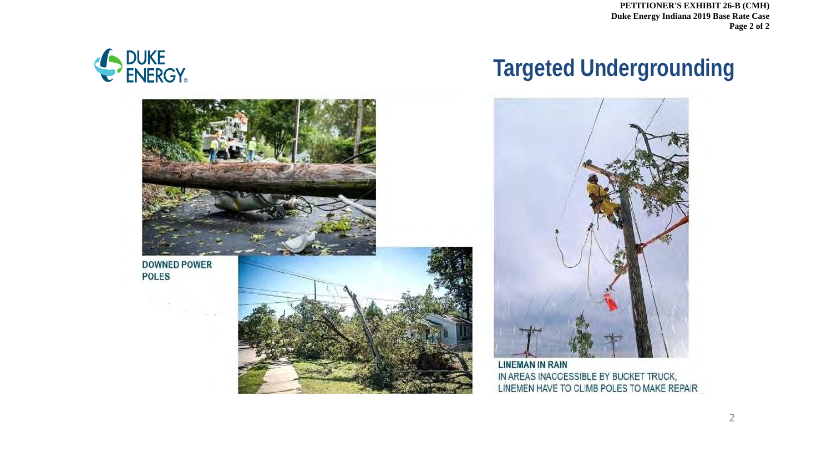**PETITIONER'S EXHIBIT 26-B (CMH) Duke Energy Indiana 2019 Base Rate Case Page 2 of 2**





# **Targeted Undergrounding**



**LINEMAN IN RAIN** IN AREAS INACCESSIBLE BY BUCKET TRUCK, LINEMEN HAVE TO CLIMB POLES TO MAKE REPAIR